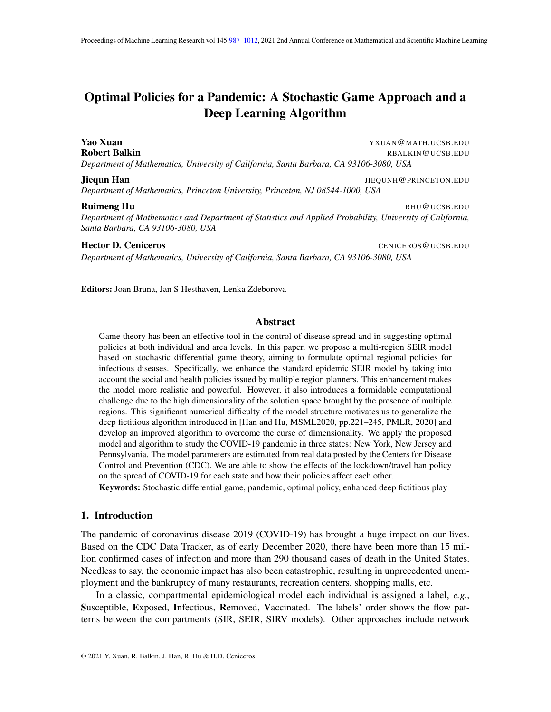# <span id="page-0-0"></span>Optimal Policies for a Pandemic: A Stochastic Game Approach and a Deep Learning Algorithm

Yao Xuan YXUAN@MATH.UCSB.EDU Robert Balkin **Rabing Rabing Rabing Rabing Rabing Rabing Rabing Rabing Rabing Rabing Rabing Rabing Rabing Rabing R** *Department of Mathematics, University of California, Santa Barbara, CA 93106-3080, USA*

#### **Jiequn Han** JIEQUNH@PRINCETON.EDU

*Department of Mathematics, Princeton University, Princeton, NJ 08544-1000, USA*

#### **Ruimeng Hu RHU@UCSB.EDU** RHU**@UCSB.EDU**

*Department of Mathematics and Department of Statistics and Applied Probability, University of California, Santa Barbara, CA 93106-3080, USA*

#### **Hector D. Ceniceros** CENICEROS **CENICEROS** CENICEROS **CENICEROS** CENICEROS **CENICEROS**

*Department of Mathematics, University of California, Santa Barbara, CA 93106-3080, USA*

Editors: Joan Bruna, Jan S Hesthaven, Lenka Zdeborova

#### Abstract

Game theory has been an effective tool in the control of disease spread and in suggesting optimal policies at both individual and area levels. In this paper, we propose a multi-region SEIR model based on stochastic differential game theory, aiming to formulate optimal regional policies for infectious diseases. Specifically, we enhance the standard epidemic SEIR model by taking into account the social and health policies issued by multiple region planners. This enhancement makes the model more realistic and powerful. However, it also introduces a formidable computational challenge due to the high dimensionality of the solution space brought by the presence of multiple regions. This significant numerical difficulty of the model structure motivates us to generalize the deep fictitious algorithm introduced in [Han and Hu, MSML2020, pp.221–245, PMLR, 2020] and develop an improved algorithm to overcome the curse of dimensionality. We apply the proposed model and algorithm to study the COVID-19 pandemic in three states: New York, New Jersey and Pennsylvania. The model parameters are estimated from real data posted by the Centers for Disease Control and Prevention (CDC). We are able to show the effects of the lockdown/travel ban policy on the spread of COVID-19 for each state and how their policies affect each other.

Keywords: Stochastic differential game, pandemic, optimal policy, enhanced deep fictitious play

# 1. Introduction

The pandemic of coronavirus disease 2019 (COVID-19) has brought a huge impact on our lives. Based on the CDC Data Tracker, as of early December 2020, there have been more than 15 million confirmed cases of infection and more than 290 thousand cases of death in the United States. Needless to say, the economic impact has also been catastrophic, resulting in unprecedented unemployment and the bankruptcy of many restaurants, recreation centers, shopping malls, etc.

In a classic, compartmental epidemiological model each individual is assigned a label, *e.g.*, Susceptible, Exposed, Infectious, Removed, Vaccinated. The labels' order shows the flow patterns between the compartments (SIR, SEIR, SIRV models). Other approaches include network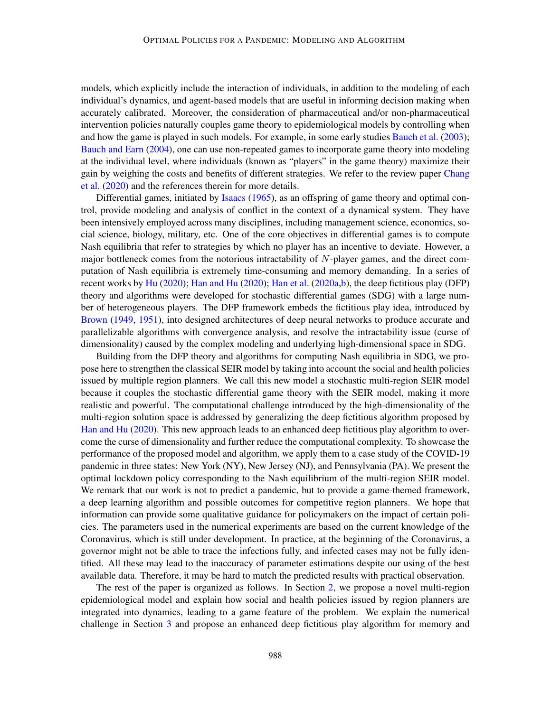models, which explicitly include the interaction of individuals, in addition to the modeling of each individual's dynamics, and agent-based models that are useful in informing decision making when accurately calibrated. Moreover, the consideration of pharmaceutical and/or non-pharmaceutical intervention policies naturally couples game theory to epidemiological models by controlling when and how the game is played in such models. For example, in some early studies [Bauch et al.](#page-17-0) [\(2003\)](#page-17-0); [Bauch and Earn](#page-17-1) [\(2004\)](#page-17-1), one can use non-repeated games to incorporate game theory into modeling at the individual level, where individuals (known as "players" in the game theory) maximize their gain by weighing the costs and benefits of different strategies. We refer to the review paper [Chang](#page-17-2) [et al.](#page-17-2) [\(2020\)](#page-17-2) and the references therein for more details.

Differential games, initiated by [Isaacs](#page-18-0) [\(1965\)](#page-18-0), as an offspring of game theory and optimal control, provide modeling and analysis of conflict in the context of a dynamical system. They have been intensively employed across many disciplines, including management science, economics, social science, biology, military, etc. One of the core objectives in differential games is to compute Nash equilibria that refer to strategies by which no player has an incentive to deviate. However, a major bottleneck comes from the notorious intractability of  $N$ -player games, and the direct computation of Nash equilibria is extremely time-consuming and memory demanding. In a series of recent works by [Hu](#page-18-1) [\(2020\)](#page-17-3); [Han and Hu](#page-17-3) (2020); [Han et al.](#page-17-4) [\(2020a](#page-17-4)[,b\)](#page-17-5), the deep fictitious play (DFP) theory and algorithms were developed for stochastic differential games (SDG) with a large number of heterogeneous players. The DFP framework embeds the fictitious play idea, introduced by [Brown](#page-17-6) [\(1949,](#page-17-6) [1951\)](#page-17-7), into designed architectures of deep neural networks to produce accurate and parallelizable algorithms with convergence analysis, and resolve the intractability issue (curse of dimensionality) caused by the complex modeling and underlying high-dimensional space in SDG.

Building from the DFP theory and algorithms for computing Nash equilibria in SDG, we propose here to strengthen the classical SEIR model by taking into account the social and health policies issued by multiple region planners. We call this new model a stochastic multi-region SEIR model because it couples the stochastic differential game theory with the SEIR model, making it more realistic and powerful. The computational challenge introduced by the high-dimensionality of the multi-region solution space is addressed by generalizing the deep fictitious algorithm proposed by [Han and Hu](#page-17-3) [\(2020\)](#page-17-3). This new approach leads to an enhanced deep fictitious play algorithm to overcome the curse of dimensionality and further reduce the computational complexity. To showcase the performance of the proposed model and algorithm, we apply them to a case study of the COVID-19 pandemic in three states: New York (NY), New Jersey (NJ), and Pennsylvania (PA). We present the optimal lockdown policy corresponding to the Nash equilibrium of the multi-region SEIR model. We remark that our work is not to predict a pandemic, but to provide a game-themed framework, a deep learning algorithm and possible outcomes for competitive region planners. We hope that information can provide some qualitative guidance for policymakers on the impact of certain policies. The parameters used in the numerical experiments are based on the current knowledge of the Coronavirus, which is still under development. In practice, at the beginning of the Coronavirus, a governor might not be able to trace the infections fully, and infected cases may not be fully identified. All these may lead to the inaccuracy of parameter estimations despite our using of the best available data. Therefore, it may be hard to match the predicted results with practical observation.

The rest of the paper is organized as follows. In Section [2,](#page-2-0) we propose a novel multi-region epidemiological model and explain how social and health policies issued by region planners are integrated into dynamics, leading to a game feature of the problem. We explain the numerical challenge in Section [3](#page-5-0) and propose an enhanced deep fictitious play algorithm for memory and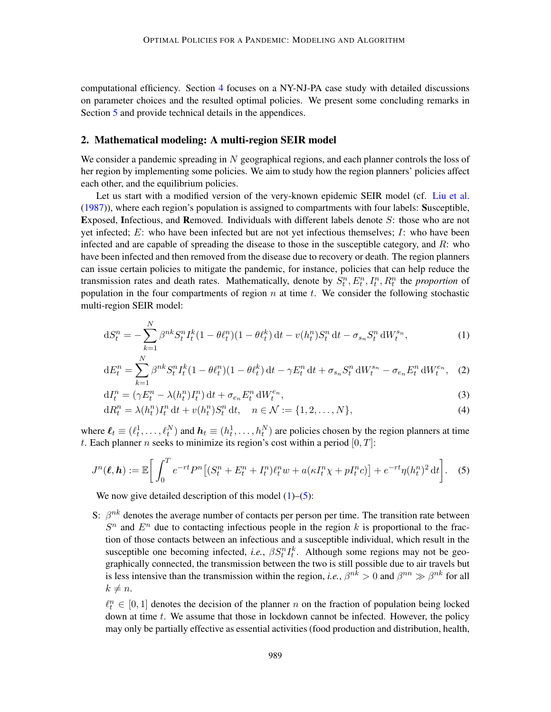computational efficiency. Section [4](#page-9-0) focuses on a NY-NJ-PA case study with detailed discussions on parameter choices and the resulted optimal policies. We present some concluding remarks in Section [5](#page-14-0) and provide technical details in the appendices.

### <span id="page-2-0"></span>2. Mathematical modeling: A multi-region SEIR model

We consider a pandemic spreading in  $N$  geographical regions, and each planner controls the loss of her region by implementing some policies. We aim to study how the region planners' policies affect each other, and the equilibrium policies.

Let us start with a modified version of the very-known epidemic SEIR model (cf. [Liu et al.](#page-18-2) [\(1987\)](#page-18-2)), where each region's population is assigned to compartments with four labels: Susceptible, Exposed, Infectious, and Removed. Individuals with different labels denote S: those who are not yet infected;  $E$ : who have been infected but are not yet infectious themselves;  $I$ : who have been infected and are capable of spreading the disease to those in the susceptible category, and R: who have been infected and then removed from the disease due to recovery or death. The region planners can issue certain policies to mitigate the pandemic, for instance, policies that can help reduce the transmission rates and death rates. Mathematically, denote by  $S_t^n$ ,  $E_t^n$ ,  $I_t^n$ ,  $R_t^n$  the *proportion* of population in the four compartments of region  $n$  at time  $t$ . We consider the following stochastic multi-region SEIR model:

<span id="page-2-1"></span>
$$
dS_t^n = -\sum_{k=1}^N \beta^{nk} S_t^n I_t^k (1 - \theta \ell_t^n)(1 - \theta \ell_t^k) dt - v(h_t^n) S_t^n dt - \sigma_{s_n} S_t^n dW_t^{s_n},
$$
\n(1)

<span id="page-2-4"></span><span id="page-2-3"></span>
$$
dE_t^n = \sum_{k=1}^N \beta^{nk} S_t^n I_t^k (1 - \theta \ell_t^n)(1 - \theta \ell_t^k) dt - \gamma E_t^n dt + \sigma_{s_n} S_t^n dW_t^{s_n} - \sigma_{e_n} E_t^n dW_t^{e_n}, \quad (2)
$$

<span id="page-2-5"></span>
$$
dI_t^n = (\gamma E_t^n - \lambda(h_t^n)I_t^n) dt + \sigma_{e_n} E_t^n dW_t^{e_n},
$$
\n(3)

<span id="page-2-2"></span>
$$
dR_t^n = \lambda(h_t^n)I_t^n dt + v(h_t^n)S_t^n dt, \quad n \in \mathcal{N} := \{1, 2, ..., N\},
$$
\n(4)

where  $\ell_t \equiv (\ell_t^1, \ldots, \ell_t^N)$  and  $h_t \equiv (h_t^1, \ldots, h_t^N)$  are policies chosen by the region planners at time t. Each planner n seeks to minimize its region's cost within a period  $[0, T]$ :

$$
J^n(\boldsymbol{\ell}, \boldsymbol{h}) := \mathbb{E}\bigg[\int_0^T e^{-rt} P^n \big[(S_t^n + E_t^n + I_t^n)\ell_t^n w + a(\kappa I_t^n \chi + pI_t^n c)\big] + e^{-rt} \eta(h_t^n)^2 dt\bigg].\tag{5}
$$

We now give detailed description of this model  $(1)$ – $(5)$ :

S:  $\beta^{nk}$  denotes the average number of contacts per person per time. The transition rate between  $S<sup>n</sup>$  and  $E<sup>n</sup>$  due to contacting infectious people in the region k is proportional to the fraction of those contacts between an infectious and a susceptible individual, which result in the susceptible one becoming infected, *i.e.*,  $\beta S_t^n I_t^k$ . Although some regions may not be geographically connected, the transmission between the two is still possible due to air travels but is less intensive than the transmission within the region, *i.e.*,  $\beta^{nk} > 0$  and  $\beta^{nn} \gg \beta^{nk}$  for all  $k \neq n$ .

 $\ell_t^n \in [0, 1]$  denotes the decision of the planner n on the fraction of population being locked down at time  $t$ . We assume that those in lockdown cannot be infected. However, the policy may only be partially effective as essential activities (food production and distribution, health,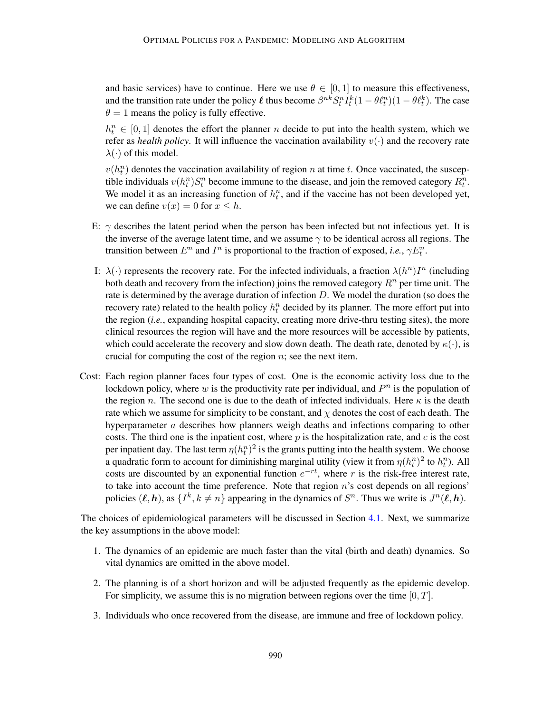and basic services) have to continue. Here we use  $\theta \in [0, 1]$  to measure this effectiveness, and the transition rate under the policy  $\ell$  thus become  $\beta^{nk} S_t^n I_t^k (1 - \theta \ell_t^n) (1 - \theta \ell_t^k)$ . The case  $\theta = 1$  means the policy is fully effective.

 $h_t^n \in [0,1]$  denotes the effort the planner n decide to put into the health system, which we refer as *health policy*. It will influence the vaccination availability  $v(\cdot)$  and the recovery rate  $\lambda(\cdot)$  of this model.

 $v(h_t^n)$  denotes the vaccination availability of region n at time t. Once vaccinated, the susceptible individuals  $v(h_t^n)S_t^n$  become immune to the disease, and join the removed category  $R_t^n$ . We model it as an increasing function of  $h_t^n$ , and if the vaccine has not been developed yet, we can define  $v(x) = 0$  for  $x \leq \overline{h}$ .

- E:  $\gamma$  describes the latent period when the person has been infected but not infectious yet. It is the inverse of the average latent time, and we assume  $\gamma$  to be identical across all regions. The transition between  $E^n$  and  $I^n$  is proportional to the fraction of exposed, *i.e.*,  $\gamma E_t^n$ .
- I:  $\lambda(\cdot)$  represents the recovery rate. For the infected individuals, a fraction  $\lambda(h^n)I^n$  (including both death and recovery from the infection) joins the removed category  $R^n$  per time unit. The rate is determined by the average duration of infection D. We model the duration (so does the recovery rate) related to the health policy  $h_t^n$  decided by its planner. The more effort put into the region (*i.e.*, expanding hospital capacity, creating more drive-thru testing sites), the more clinical resources the region will have and the more resources will be accessible by patients, which could accelerate the recovery and slow down death. The death rate, denoted by  $\kappa(\cdot)$ , is crucial for computing the cost of the region  $n$ ; see the next item.
- Cost: Each region planner faces four types of cost. One is the economic activity loss due to the lockdown policy, where w is the productivity rate per individual, and  $P<sup>n</sup>$  is the population of the region n. The second one is due to the death of infected individuals. Here  $\kappa$  is the death rate which we assume for simplicity to be constant, and  $\chi$  denotes the cost of each death. The hyperparameter a describes how planners weigh deaths and infections comparing to other costs. The third one is the inpatient cost, where  $p$  is the hospitalization rate, and  $c$  is the cost per inpatient day. The last term  $\eta(h_t^n)^2$  is the grants putting into the health system. We choose a quadratic form to account for diminishing marginal utility (view it from  $\eta(h_t^n)^2$  to  $h_t^n$ ). All costs are discounted by an exponential function  $e^{-rt}$ , where r is the risk-free interest rate, to take into account the time preference. Note that region  $n$ 's cost depends on all regions' policies  $(\ell, h)$ , as  $\{I^k, k \neq n\}$  appearing in the dynamics of  $S^n$ . Thus we write is  $J^n(\ell, h)$ .

The choices of epidemiological parameters will be discussed in Section [4.1.](#page-9-1) Next, we summarize the key assumptions in the above model:

- 1. The dynamics of an epidemic are much faster than the vital (birth and death) dynamics. So vital dynamics are omitted in the above model.
- 2. The planning is of a short horizon and will be adjusted frequently as the epidemic develop. For simplicity, we assume this is no migration between regions over the time  $[0, T]$ .
- 3. Individuals who once recovered from the disease, are immune and free of lockdown policy.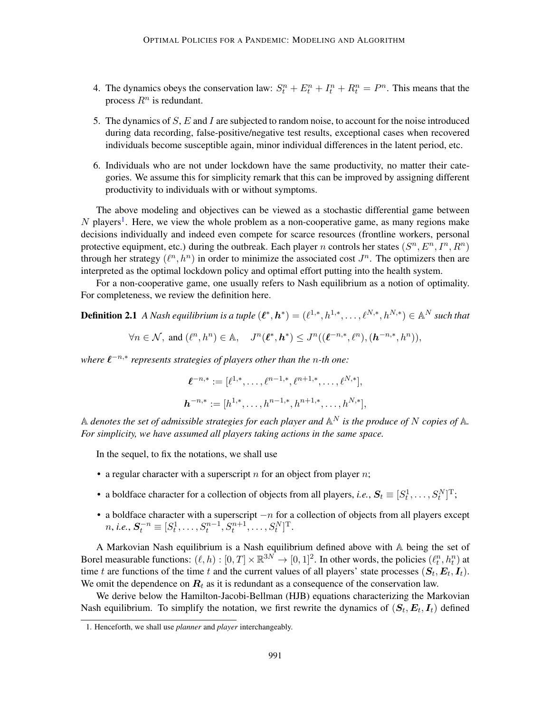- 4. The dynamics obeys the conservation law:  $S_t^n + E_t^n + I_t^n + R_t^n = P^n$ . This means that the process  $R^n$  is redundant.
- 5. The dynamics of S, E and I are subjected to random noise, to account for the noise introduced during data recording, false-positive/negative test results, exceptional cases when recovered individuals become susceptible again, minor individual differences in the latent period, etc.
- 6. Individuals who are not under lockdown have the same productivity, no matter their categories. We assume this for simplicity remark that this can be improved by assigning different productivity to individuals with or without symptoms.

The above modeling and objectives can be viewed as a stochastic differential game between  $N$  players<sup>[1](#page-4-0)</sup>. Here, we view the whole problem as a non-cooperative game, as many regions make decisions individually and indeed even compete for scarce resources (frontline workers, personal protective equipment, etc.) during the outbreak. Each player n controls her states  $(S^n, E^n, I^n, R^n)$ through her strategy  $(\ell^n, h^n)$  in order to minimize the associated cost  $J^n$ . The optimizers then are interpreted as the optimal lockdown policy and optimal effort putting into the health system.

For a non-cooperative game, one usually refers to Nash equilibrium as a notion of optimality. For completeness, we review the definition here.

**Definition 2.1** A Nash equilibrium is a tuple  $(\ell^*, h^*) = (\ell^{1,*}, h^{1,*}, \ldots, \ell^{N,*}, h^{N,*}) \in \mathbb{A}^N$  such that

$$
\forall n \in \mathcal{N}, \text{ and } (\ell^n, h^n) \in \mathbb{A}, \quad J^n(\ell^*, \mathbf{h}^*) \le J^n((\ell^{-n,*}, \ell^n), (\mathbf{h}^{-n,*}, h^n)),
$$

*where*  $\ell^{-n,*}$  *represents strategies of players other than the n-th one:* 

$$
\boldsymbol{\ell}^{-n,*} := [\ell^{1,*}, \dots, \ell^{n-1,*}, \ell^{n+1,*}, \dots, \ell^{N,*}],
$$
  

$$
\boldsymbol{h}^{-n,*} := [h^{1,*}, \dots, h^{n-1,*}, h^{n+1,*}, \dots, h^{N,*}],
$$

 $\mathbb A$  *denotes the set of admissible strategies for each player and*  $\mathbb A^N$  *is the produce of* N *copies of*  $\mathbb A$ *. For simplicity, we have assumed all players taking actions in the same space.*

In the sequel, to fix the notations, we shall use

- a regular character with a superscript  $n$  for an object from player  $n$ ;
- a boldface character for a collection of objects from all players, *i.e.*,  $S_t \equiv [S_t^1, \dots, S_t^N]^T$ ;
- a boldface character with a superscript  $-n$  for a collection of objects from all players except  $n, i.e., S_t^{-n} \equiv [S_t^1, \ldots, S_t^{n-1}, S_t^{n+1}, \ldots, S_t^N]^T.$

A Markovian Nash equilibrium is a Nash equilibrium defined above with A being the set of Borel measurable functions:  $(\ell, h) : [0, T] \times \mathbb{R}^{3N} \to [0, 1]^2$ . In other words, the policies  $(\ell_t^n, h_t^n)$  at time t are functions of the time t and the current values of all players' state processes  $(S_t, E_t, I_t)$ . We omit the dependence on  $R_t$  as it is redundant as a consequence of the conservation law.

We derive below the Hamilton-Jacobi-Bellman (HJB) equations characterizing the Markovian Nash equilibrium. To simplify the notation, we first rewrite the dynamics of  $(S_t, E_t, I_t)$  defined

<span id="page-4-0"></span><sup>1.</sup> Henceforth, we shall use *planner* and *player* interchangeably.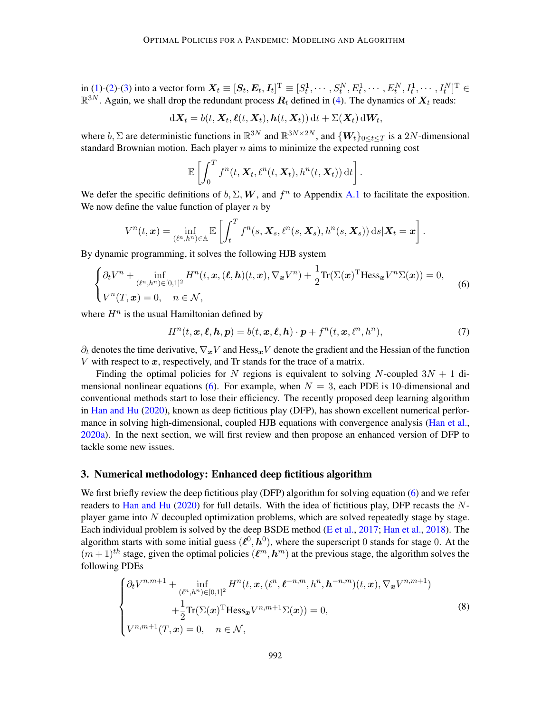in [\(1\)](#page-2-1)-[\(2\)](#page-2-3)-[\(3\)](#page-2-4) into a vector form  $\boldsymbol{X}_t \equiv [\boldsymbol{S}_t, \boldsymbol{E}_t, \boldsymbol{I}_t]^{\text{T}} \equiv [S^1_t, \cdots, S^N_t, E^1_t, \cdots, E^N_t, I^1_t, \cdots, I^N_t]^{\text{T}} \in$  $\mathbb{R}^{3N}$ . Again, we shall drop the redundant process  $R_t$  defined in [\(4\)](#page-2-5). The dynamics of  $X_t$  reads:

$$
\mathrm{d} \mathbf{X}_t = b(t, \mathbf{X}_t, \boldsymbol{\ell}(t, \mathbf{X}_t), \boldsymbol{h}(t, \mathbf{X}_t)) \, \mathrm{d} t + \Sigma(\mathbf{X}_t) \, \mathrm{d} \mathbf{W}_t,
$$

where  $b, \Sigma$  are deterministic functions in  $\mathbb{R}^{3N}$  and  $\mathbb{R}^{3N\times2N}$ , and  $\{W_t\}_{0\leq t\leq T}$  is a 2N-dimensional standard Brownian motion. Each player  $n$  aims to minimize the expected running cost

<span id="page-5-1"></span>
$$
\mathbb{E}\left[\int_0^T f^n(t,\mathbf{X}_t,\ell^n(t,\mathbf{X}_t),h^n(t,\mathbf{X}_t)) dt\right].
$$

We defer the specific definitions of  $b, \Sigma, W$ , and  $f^n$  to Appendix [A.1](#page-18-3) to facilitate the exposition. We now define the value function of player  $n$  by

$$
V^n(t, \boldsymbol{x}) = \inf_{(\ell^n, h^n) \in \mathbb{A}} \mathbb{E}\left[\int_t^T f^n(s, \boldsymbol{X}_s, \ell^n(s, \boldsymbol{X}_s), h^n(s, \boldsymbol{X}_s)) ds | \boldsymbol{X}_t = \boldsymbol{x}\right].
$$

By dynamic programming, it solves the following HJB system

$$
\begin{cases} \partial_t V^n + \inf_{(\ell^n, h^n) \in [0,1]^2} H^n(t, \mathbf{x}, (\ell, \mathbf{h})(t, \mathbf{x}), \nabla_{\mathbf{x}} V^n) + \frac{1}{2} \text{Tr}(\Sigma(\mathbf{x})^T \text{Hess}_{\mathbf{x}} V^n \Sigma(\mathbf{x})) = 0, \\ V^n(T, \mathbf{x}) = 0, \quad n \in \mathcal{N}, \end{cases}
$$
(6)

where  $H^n$  is the usual Hamiltonian defined by

<span id="page-5-3"></span>
$$
H^n(t, \mathbf{x}, \ell, \mathbf{h}, \mathbf{p}) = b(t, \mathbf{x}, \ell, \mathbf{h}) \cdot \mathbf{p} + f^n(t, \mathbf{x}, \ell^n, h^n), \tag{7}
$$

 $\partial_t$  denotes the time derivative,  $\nabla_x V$  and Hess<sub>x</sub>V denote the gradient and the Hessian of the function V with respect to  $x$ , respectively, and Tr stands for the trace of a matrix.

Finding the optimal policies for N regions is equivalent to solving N-coupled  $3N + 1$  di-mensional nonlinear equations [\(6\)](#page-5-1). For example, when  $N = 3$ , each PDE is 10-dimensional and conventional methods start to lose their efficiency. The recently proposed deep learning algorithm in [Han and Hu](#page-17-3) [\(2020\)](#page-17-3), known as deep fictitious play (DFP), has shown excellent numerical perfor-mance in solving high-dimensional, coupled HJB equations with convergence analysis [\(Han et al.,](#page-17-4) [2020a\)](#page-17-4). In the next section, we will first review and then propose an enhanced version of DFP to tackle some new issues.

## <span id="page-5-0"></span>3. Numerical methodology: Enhanced deep fictitious algorithm

We first briefly review the deep fictitious play (DFP) algorithm for solving equation [\(6\)](#page-5-1) and we refer readers to [Han and Hu](#page-17-3)  $(2020)$  for full details. With the idea of fictitious play, DFP recasts the Nplayer game into  $N$  decoupled optimization problems, which are solved repeatedly stage by stage. Each individual problem is solved by the deep BSDE method [\(E et al.,](#page-17-8) [2017;](#page-17-8) [Han et al.,](#page-17-9) [2018\)](#page-17-9). The algorithm starts with some initial guess  $(\ell^0, h^0)$ , where the superscript 0 stands for stage 0. At the  $(m+1)$ <sup>th</sup> stage, given the optimal policies  $(\ell^m, h^m)$  at the previous stage, the algorithm solves the following PDEs

<span id="page-5-2"></span>
$$
\begin{cases} \partial_t V^{n,m+1} + \inf_{(\ell^n,h^n) \in [0,1]^2} H^n(t,\mathbf{x}, (\ell^n,\ell^{-n,m},h^n,\mathbf{h}^{-n,m})(t,\mathbf{x}), \nabla_{\mathbf{x}} V^{n,m+1}) \\ + \frac{1}{2} \text{Tr}(\Sigma(\mathbf{x})^{\text{T}} \text{Hess}_{\mathbf{x}} V^{n,m+1} \Sigma(\mathbf{x})) = 0, \\ V^{n,m+1}(T,\mathbf{x}) = 0, \quad n \in \mathcal{N}, \end{cases}
$$
 (8)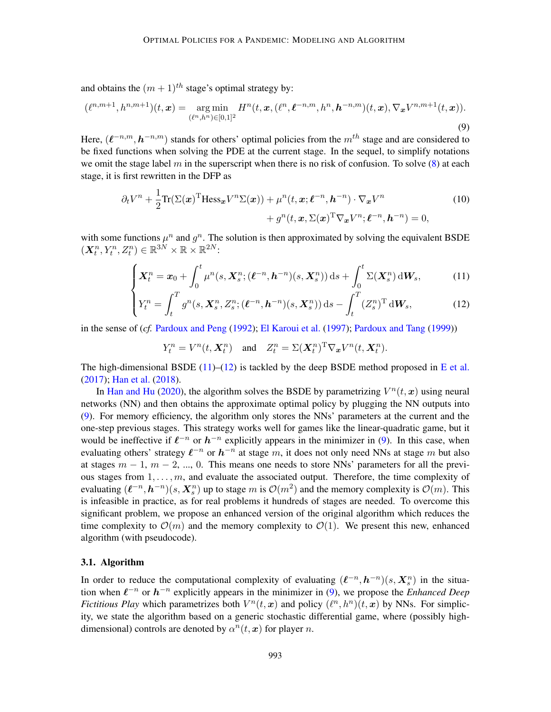and obtains the  $(m + 1)^{th}$  stage's optimal strategy by:

$$
(\ell^{n,m+1}, h^{n,m+1})(t, \mathbf{x}) = \underset{(\ell^n, h^n) \in [0,1]^2}{\arg \min} H^n(t, \mathbf{x}, (\ell^n, \ell^{-n,m}, h^n, \mathbf{h}^{-n,m})(t, \mathbf{x}), \nabla_{\mathbf{x}} V^{n,m+1}(t, \mathbf{x})).
$$
\n(9)

Here,  $(\ell^{-n,m}, h^{-n,m})$  stands for others' optimal policies from the  $m^{th}$  stage and are considered to be fixed functions when solving the PDE at the current stage. In the sequel, to simplify notations we omit the stage label m in the superscript when there is no risk of confusion. To solve  $(8)$  at each stage, it is first rewritten in the DFP as

<span id="page-6-2"></span>
$$
\partial_t V^n + \frac{1}{2} \text{Tr}(\Sigma(\boldsymbol{x})^{\text{T}} \text{Hess}_{\boldsymbol{x}} V^n \Sigma(\boldsymbol{x})) + \mu^n(t, \boldsymbol{x}; \boldsymbol{\ell}^{-n}, \boldsymbol{h}^{-n}) \cdot \nabla_{\boldsymbol{x}} V^n + g^n(t, \boldsymbol{x}, \Sigma(\boldsymbol{x})^{\text{T}} \nabla_{\boldsymbol{x}} V^n; \boldsymbol{\ell}^{-n}, \boldsymbol{h}^{-n}) = 0,
$$
\n(10)

with some functions  $\mu^n$  and  $g^n$ . The solution is then approximated by solving the equivalent BSDE  $(X_t^n, Y_t^n, Z_t^n) \in \mathbb{R}^{3N} \times \mathbb{R} \times \mathbb{R}^{2N}$ 

$$
\left(\boldsymbol{X}_t^n=\boldsymbol{x}_0+\int_0^t\mu^n(s,\boldsymbol{X}_s^n;(\boldsymbol{\ell}^{-n},\boldsymbol{h}^{-n})(s,\boldsymbol{X}_s^n))\,\mathrm{d}s+\int_0^t\Sigma(\boldsymbol{X}_s^n)\,\mathrm{d}\boldsymbol{W}_s,\right.\tag{11}
$$

$$
\left(Y_t^n = \int_t^T g^n(s, \mathbf{X}_s^n, Z_s^n; (\boldsymbol{\ell}^{-n}, \boldsymbol{h}^{-n})(s, \mathbf{X}_s^n)) ds - \int_t^T (Z_s^n)^{\mathrm{T}} d\mathbf{W}_s, \tag{12}
$$

in the sense of (*cf.* [Pardoux and Peng](#page-18-4) [\(1992\)](#page-18-4); [El Karoui et al.](#page-17-10) [\(1997\)](#page-17-10); [Pardoux and Tang](#page-18-5) [\(1999\)](#page-18-5))

<span id="page-6-4"></span><span id="page-6-1"></span><span id="page-6-0"></span>
$$
Y_t^n = V^n(t, \mathbf{X}_t^n)
$$
 and  $Z_t^n = \Sigma(\mathbf{X}_t^n)^\mathrm{T} \nabla_{\mathbf{x}} V^n(t, \mathbf{X}_t^n)$ .

The high-dimensional BSDE  $(11)$ – $(12)$  is tackled by the deep BSDE method proposed in [E et al.](#page-17-8) [\(2017\)](#page-17-8); [Han et al.](#page-17-9) [\(2018\)](#page-17-9).

In [Han and Hu](#page-17-3) [\(2020\)](#page-17-3), the algorithm solves the BSDE by parametrizing  $V^n(t, x)$  using neural networks (NN) and then obtains the approximate optimal policy by plugging the NN outputs into [\(9\)](#page-6-2). For memory efficiency, the algorithm only stores the NNs' parameters at the current and the one-step previous stages. This strategy works well for games like the linear-quadratic game, but it would be ineffective if  $\ell^{-n}$  or  $h^{-n}$  explicitly appears in the minimizer in [\(9\)](#page-6-2). In this case, when evaluating others' strategy  $\ell^{-n}$  or  $h^{-n}$  at stage m, it does not only need NNs at stage m but also at stages  $m - 1$ ,  $m - 2$ , ..., 0. This means one needs to store NNs' parameters for all the previous stages from  $1, \ldots, m$ , and evaluate the associated output. Therefore, the time complexity of evaluating  $(\ell^{-n}, h^{-n})(s, X_s^n)$  up to stage m is  $\mathcal{O}(m^2)$  and the memory complexity is  $\mathcal{O}(m)$ . This is infeasible in practice, as for real problems it hundreds of stages are needed. To overcome this significant problem, we propose an enhanced version of the original algorithm which reduces the time complexity to  $\mathcal{O}(m)$  and the memory complexity to  $\mathcal{O}(1)$ . We present this new, enhanced algorithm (with pseudocode).

## <span id="page-6-3"></span>3.1. Algorithm

In order to reduce the computational complexity of evaluating  $(\ell^{-n}, h^{-n})(s, X_s^n)$  in the situation when  $\ell^{-n}$  or  $h^{-n}$  explicitly appears in the minimizer in [\(9\)](#page-6-2), we propose the *Enhanced Deep Fictitious Play* which parametrizes both  $V^n(t, x)$  and policy  $(\ell^n, h^n)(t, x)$  by NNs. For simplicity, we state the algorithm based on a generic stochastic differential game, where (possibly highdimensional) controls are denoted by  $\alpha^n(t, x)$  for player n.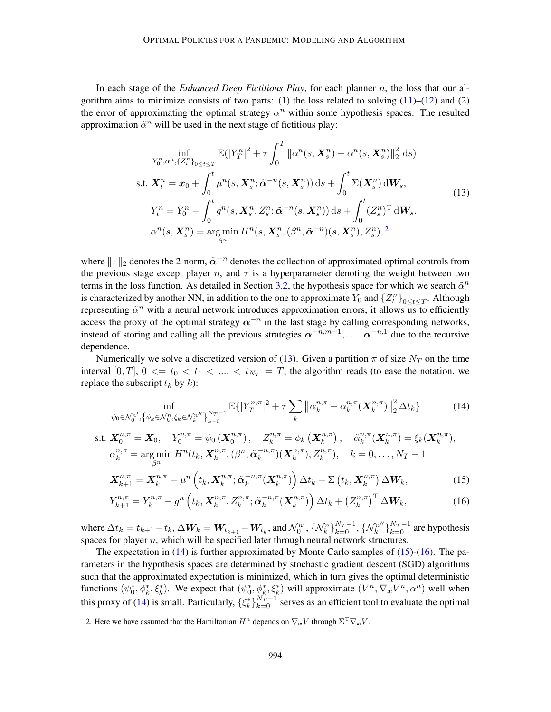In each stage of the *Enhanced Deep Fictitious Play*, for each planner n, the loss that our algorithm aims to minimize consists of two parts: (1) the loss related to solving  $(11)$ – $(12)$  and (2) the error of approximating the optimal strategy  $\alpha^n$  within some hypothesis spaces. The resulted approximation  $\tilde{\alpha}^n$  will be used in the next stage of fictitious play:

<span id="page-7-1"></span>
$$
\inf_{Y_0^n, \tilde{\alpha}^n, \{Z_t^n\}_{0 \le t \le T}} \mathbb{E}(|Y_T^n|^2 + \tau \int_0^T \|\alpha^n(s, \mathbf{X}_s^n) - \tilde{\alpha}^n(s, \mathbf{X}_s^n)\|_2^2 \, ds)
$$
\ns.t.  $\mathbf{X}_t^n = \mathbf{x}_0 + \int_0^t \mu^n(s, \mathbf{X}_s^n; \tilde{\alpha}^{-n}(s, \mathbf{X}_s^n)) \, ds + \int_0^t \Sigma(\mathbf{X}_s^n) \, d\mathbf{W}_s,$   
\n
$$
Y_t^n = Y_0^n - \int_0^t g^n(s, \mathbf{X}_s^n, Z_s^n; \tilde{\alpha}^{-n}(s, \mathbf{X}_s^n)) \, ds + \int_0^t (Z_s^n)^T \, d\mathbf{W}_s,
$$
  
\n
$$
\alpha^n(s, \mathbf{X}_s^n) = \arg\min_{\beta^n} H^n(s, \mathbf{X}_s^n, (\beta^n, \tilde{\alpha}^{-n})(s, \mathbf{X}_s^n), Z_s^n),
$$
<sup>2</sup>\n(13)

where  $\|\cdot\|_2$  denotes the 2-norm,  $\tilde{\alpha}^{-n}$  denotes the collection of approximated optimal controls from the previous stage except player n, and  $\tau$  is a hyperparameter denoting the weight between two terms in the loss function. As detailed in Section [3.2,](#page-8-0) the hypothesis space for which we search  $\tilde{\alpha}^n$ is characterized by another NN, in addition to the one to approximate  $Y_0$  and  $\{Z_t^n\}_{0 \le t \le T}$ . Although representing  $\tilde{\alpha}^n$  with a neural network introduces approximation errors, it allows us to efficiently access the proxy of the optimal strategy  $\alpha^{-n}$  in the last stage by calling corresponding networks, instead of storing and calling all the previous strategies  $\alpha^{-n,m-1}, \ldots, \alpha^{-n,1}$  due to the recursive dependence.

Numerically we solve a discretized version of [\(13\)](#page-7-1). Given a partition  $\pi$  of size  $N_T$  on the time interval  $[0, T]$ ,  $0 \le t_0 \le t_1 \le \ldots \le t_{N_T} = T$ , the algorithm reads (to ease the notation, we replace the subscript  $t_k$  by  $k$ ):

<span id="page-7-2"></span>
$$
\inf_{\psi_0 \in \mathcal{N}_0^{n'} , \{\phi_k \in \mathcal{N}_k^n, \xi_k \in \mathcal{N}_k^{n'}\}_{k=0}^{N_T-1}} \mathbb{E}\{|Y_T^{n,\pi}|^2 + \tau \sum_k \|\alpha_k^{n,\pi} - \tilde{\alpha}_k^{n,\pi}(\boldsymbol{X}_k^{n,\pi})\|_2^2 \Delta t_k\} \tag{14}
$$

s.t. 
$$
\mathbf{X}_{0}^{n,\pi} = \mathbf{X}_{0}, \quad Y_{0}^{n,\pi} = \psi_{0}(\mathbf{X}_{0}^{n,\pi}), \quad Z_{k}^{n,\pi} = \phi_{k}(\mathbf{X}_{k}^{n,\pi}), \quad \tilde{\alpha}_{k}^{n,\pi}(\mathbf{X}_{k}^{n,\pi}) = \xi_{k}(\mathbf{X}_{k}^{n,\pi}),
$$
  
 $\alpha_{k}^{n,\pi} = \arg\min_{\beta^{n}} H^{n}(t_{k}, \mathbf{X}_{k}^{n,\pi}, (\beta^{n}, \tilde{\alpha}_{k}^{-n,\pi})(\mathbf{X}_{k}^{n,\pi}), Z_{k}^{n,\pi}), \quad k = 0, ..., N_{T} - 1$ 

<span id="page-7-4"></span><span id="page-7-3"></span>
$$
\mathbf{X}_{k+1}^{n,\pi} = \mathbf{X}_k^{n,\pi} + \mu^n \left( t_k, \mathbf{X}_k^{n,\pi}; \tilde{\alpha}_k^{-n,\pi} (\mathbf{X}_k^{n,\pi}) \right) \Delta t_k + \Sigma \left( t_k, \mathbf{X}_k^{n,\pi} \right) \Delta W_k, \tag{15}
$$

$$
Y_{k+1}^{n,\pi} = Y_k^{n,\pi} - g^n\left(t_k, \mathbf{X}_k^{n,\pi}, Z_k^{n,\pi}; \tilde{\alpha}_k^{-n,\pi}(\mathbf{X}_k^{n,\pi})\right) \Delta t_k + \left(Z_k^{n,\pi}\right)^{\mathrm{T}} \Delta W_k, \tag{16}
$$

where  $\Delta t_k = t_{k+1} - t_k, \Delta \boldsymbol{W}_k = \boldsymbol{W}_{t_{k+1}} - \boldsymbol{W}_{t_k},$  and  $\mathcal{N}_0^{n'}$  $\{\mathcal{N}_k^n\}_{k=0}^{N_T-1}, \{\mathcal{N}_k^{n''}\}$  $\binom{n''}{k}$  $\binom{N_T-1}{k=0}$  are hypothesis spaces for player n, which will be specified later through neural network structures.

The expectation in [\(14\)](#page-7-2) is further approximated by Monte Carlo samples of [\(15\)](#page-7-3)-[\(16\)](#page-7-4). The parameters in the hypothesis spaces are determined by stochastic gradient descent (SGD) algorithms such that the approximated expectation is minimized, which in turn gives the optimal deterministic functions  $(\psi_0^*, \phi_k^*, \xi_k^*)$ . We expect that  $(\psi_0^*, \phi_k^*, \xi_k^*)$  will approximate  $(V^n, \nabla_x V^n, \alpha^n)$  well when this proxy of [\(14\)](#page-7-2) is small. Particularly,  $\{\xi_k^*\}_{k=0}^{N_T-1}$  serves as an efficient tool to evaluate the optimal

<span id="page-7-0"></span><sup>2.</sup> Here we have assumed that the Hamiltonian  $H^n$  depends on  $\nabla_{\bm{x}}V$  through  $\Sigma^{\mathrm{T}} \nabla_{\bm{x}} V$ .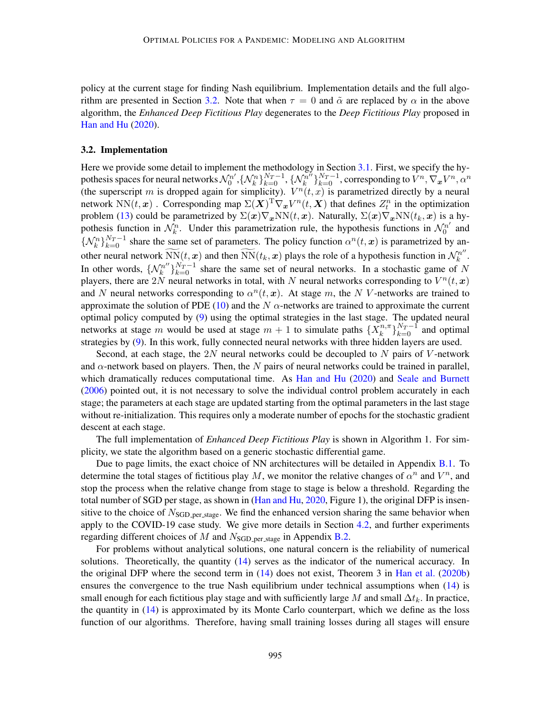policy at the current stage for finding Nash equilibrium. Implementation details and the full algo-rithm are presented in Section [3.2.](#page-8-0) Note that when  $\tau = 0$  and  $\tilde{\alpha}$  are replaced by  $\alpha$  in the above algorithm, the *Enhanced Deep Fictitious Play* degenerates to the *Deep Fictitious Play* proposed in [Han and Hu](#page-17-3) [\(2020\)](#page-17-3).

#### <span id="page-8-0"></span>3.2. Implementation

Here we provide some detail to implement the methodology in Section [3.1.](#page-6-3) First, we specify the hypothesis spaces for neural networks  $\mathcal{N}_0^{n'}$  $\{ \mathcal{N}_k^n \}_{k=0}^{N_T-1}, \{ \mathcal{N}_k^{n^{\prime n}} \}$  $\{\bar{k}_k^{\bar{n}'}\}_{k=0}^{N_T-1}$ , corresponding to  $\bar{V}^n, \nabla_{\bm{x}} V^n, \alpha^n$ (the superscript m is dropped again for simplicity).  $V^n(t, x)$  is parametrized directly by a neural network NN $(t, x)$ . Corresponding map  $\Sigma(X)^{T} \nabla_x V^n(t, X)$  that defines  $Z_t^n$  in the optimization problem [\(13\)](#page-7-1) could be parametrized by  $\Sigma(x)\nabla_x NN(t, x)$ . Naturally,  $\Sigma(x)\nabla_x NN(t_k, x)$  is a hypothesis function in  $\mathcal{N}_k^n$ . Under this parametrization rule, the hypothesis functions in  $\mathcal{N}_0^{n'}$  $\int_0^{n'}$  and  $\{N_k^n\}_{k=0}^{N_T-1}$  share the same set of parameters. The policy function  $\alpha^n(t, x)$  is parametrized by another neural network  $\widetilde{NN}(t, x)$  and then  $\widetilde{NN}(t_k, x)$  plays the role of a hypothesis function in  $\mathcal{N}_k^{n'}$  $k^{n^{\prime\prime}}.$ In other words,  $\{\mathcal{N}_k^{n''}\}$  $\binom{n}{k}^{N_T-1}$  share the same set of neural networks. In a stochastic game of N players, there are 2N neural networks in total, with N neural networks corresponding to  $V^n(t, x)$ and N neural networks corresponding to  $\alpha^n(t, x)$ . At stage m, the N V-networks are trained to approximate the solution of PDE [\(10\)](#page-6-4) and the N  $\alpha$ -networks are trained to approximate the current optimal policy computed by [\(9\)](#page-6-2) using the optimal strategies in the last stage. The updated neural networks at stage m would be used at stage  $m + 1$  to simulate paths  $\{X_k^{n,m}$  ${k \choose k}^{N_T-1}$  and optimal strategies by [\(9\)](#page-6-2). In this work, fully connected neural networks with three hidden layers are used.

Second, at each stage, the 2N neural networks could be decoupled to N pairs of V-network and  $\alpha$ -network based on players. Then, the N pairs of neural networks could be trained in parallel, which dramatically reduces computational time. As [Han and Hu](#page-17-3) [\(2020\)](#page-17-3) and [Seale and Burnett](#page-18-6) [\(2006\)](#page-18-6) pointed out, it is not necessary to solve the individual control problem accurately in each stage; the parameters at each stage are updated starting from the optimal parameters in the last stage without re-initialization. This requires only a moderate number of epochs for the stochastic gradient descent at each stage.

The full implementation of *Enhanced Deep Fictitious Play* is shown in Algorithm 1. For simplicity, we state the algorithm based on a generic stochastic differential game.

Due to page limits, the exact choice of NN architectures will be detailed in Appendix [B.1.](#page-22-0) To determine the total stages of fictitious play M, we monitor the relative changes of  $\alpha^n$  and  $V^n$ , and stop the process when the relative change from stage to stage is below a threshold. Regarding the total number of SGD per stage, as shown in [\(Han and Hu,](#page-17-3) [2020,](#page-17-3) Figure 1), the original DFP is insensitive to the choice of  $N_{\text{SGD-per-stage}}$ . We find the enhanced version sharing the same behavior when apply to the COVID-19 case study. We give more details in Section [4.2,](#page-11-0) and further experiments regarding different choices of M and  $N_{SGD_{\text{per-stage}}}$  in Appendix [B.2.](#page-22-1)

For problems without analytical solutions, one natural concern is the reliability of numerical solutions. Theoretically, the quantity [\(14\)](#page-7-2) serves as the indicator of the numerical accuracy. In the original DFP where the second term in  $(14)$  does not exist, Theorem 3 in [Han et al.](#page-17-5) [\(2020b\)](#page-17-5) ensures the convergence to the true Nash equilibrium under technical assumptions when [\(14\)](#page-7-2) is small enough for each fictitious play stage and with sufficiently large M and small  $\Delta t_k$ . In practice, the quantity in [\(14\)](#page-7-2) is approximated by its Monte Carlo counterpart, which we define as the loss function of our algorithms. Therefore, having small training losses during all stages will ensure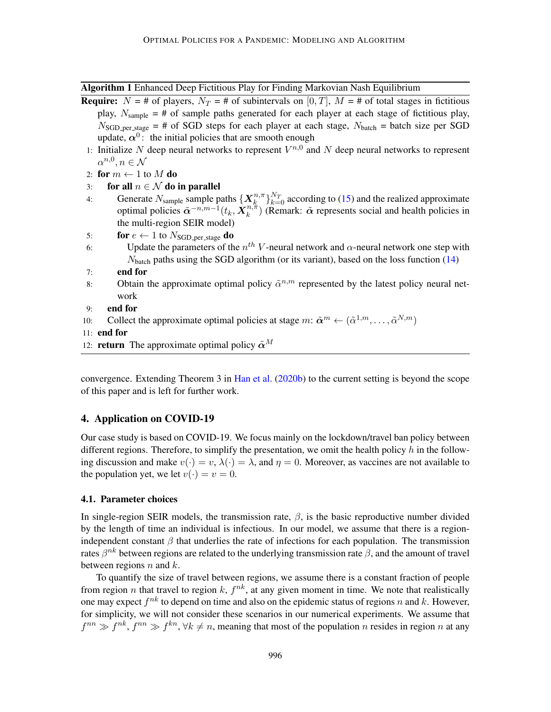Algorithm 1 Enhanced Deep Fictitious Play for Finding Markovian Nash Equilibrium

<span id="page-9-2"></span>

| <b>Require:</b> $N = #$ of players, $N_T = #$ of subintervals on [0, T], $M = #$ of total stages in fictitious              |
|-----------------------------------------------------------------------------------------------------------------------------|
| play, $N_{\text{sample}} = #$ of sample paths generated for each player at each stage of fictitious play,                   |
| $N_{\text{SGD\_per\_stage}} = #$ of SGD steps for each player at each stage, $N_{\text{batch}} = \text{batch size per SGD}$ |
| update, $\alpha^0$ : the initial policies that are smooth enough                                                            |

- 1: Initialize N deep neural networks to represent  $V^{n,0}$  and N deep neural networks to represent  $\alpha^{n,0}, n \in \mathcal{N}$
- 2: for  $m \leftarrow 1$  to M do

| 3: | for all $n \in \mathcal{N}$ do in parallel                                                                                               |
|----|------------------------------------------------------------------------------------------------------------------------------------------|
| 4: | Generate $N_{\text{sample}}$ sample paths $\{X_k^{n,\pi}\}_{k=0}^{N_T}$ according to (15) and the realized approximate                   |
|    | optimal policies $\tilde{\alpha}^{-n,m-1}(t_k, \mathbf{X}_k^{n,\pi})$ (Remark: $\tilde{\alpha}$ represents social and health policies in |
|    | the multi-region SEIR model)                                                                                                             |
| 5: | <b>for</b> $e \leftarrow 1$ to $N_{SGD-per\_stage}$ <b>do</b>                                                                            |
| 6: | Update the parameters of the $n^{th}$ V-neural network and $\alpha$ -neural network one step with                                        |
|    | $N_{\text{batch}}$ paths using the SGD algorithm (or its variant), based on the loss function (14)                                       |
| 7: | end for                                                                                                                                  |

- 8: Obtain the approximate optimal policy  $\tilde{\alpha}^{n,m}$  represented by the latest policy neural network
- 9: end for
- 10: Collect the approximate optimal policies at stage  $m: \tilde{\boldsymbol{\alpha}}^m \leftarrow (\tilde{\alpha}^{1,m}, \ldots, \tilde{\alpha}^{N,m})$
- 11: end for
- 12: **return** The approximate optimal policy  $\tilde{\alpha}^M$

convergence. Extending Theorem 3 in [Han et al.](#page-17-5) [\(2020b\)](#page-17-5) to the current setting is beyond the scope of this paper and is left for further work.

## <span id="page-9-0"></span>4. Application on COVID-19

Our case study is based on COVID-19. We focus mainly on the lockdown/travel ban policy between different regions. Therefore, to simplify the presentation, we omit the health policy  $h$  in the following discussion and make  $v(\cdot) = v$ ,  $\lambda(\cdot) = \lambda$ , and  $\eta = 0$ . Moreover, as vaccines are not available to the population yet, we let  $v(\cdot) = v = 0$ .

### <span id="page-9-1"></span>4.1. Parameter choices

In single-region SEIR models, the transmission rate,  $\beta$ , is the basic reproductive number divided by the length of time an individual is infectious. In our model, we assume that there is a regionindependent constant  $\beta$  that underlies the rate of infections for each population. The transmission rates  $\beta^{nk}$  between regions are related to the underlying transmission rate  $\beta$ , and the amount of travel between regions  $n$  and  $k$ .

To quantify the size of travel between regions, we assume there is a constant fraction of people from region *n* that travel to region  $k$ ,  $f^{nk}$ , at any given moment in time. We note that realistically one may expect  $f^{nk}$  to depend on time and also on the epidemic status of regions n and k. However, for simplicity, we will not consider these scenarios in our numerical experiments. We assume that  $f^{nn} \gg f^{nk}$ ,  $f^{nn} \gg f^{kn}$ ,  $\forall k \neq n$ , meaning that most of the population n resides in region n at any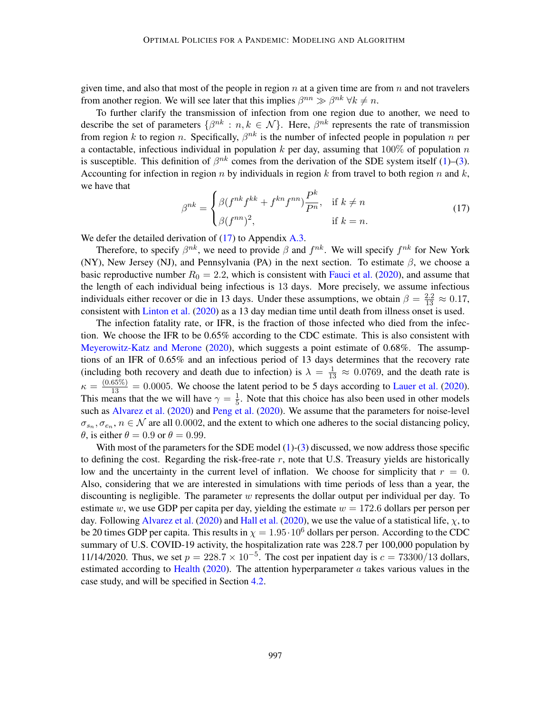given time, and also that most of the people in region  $n$  at a given time are from  $n$  and not travelers from another region. We will see later that this implies  $\beta^{nn} \gg \beta^{nk} \forall k \neq n$ .

To further clarify the transmission of infection from one region due to another, we need to describe the set of parameters  $\{\beta^{nk} : n, k \in \mathcal{N}\}\$ . Here,  $\beta^{nk}$  represents the rate of transmission from region k to region n. Specifically,  $\beta^{nk}$  is the number of infected people in population n per a contactable, infectious individual in population k per day, assuming that  $100\%$  of population n is susceptible. This definition of  $\beta^{nk}$  comes from the derivation of the SDE system itself [\(1\)](#page-2-1)–[\(3\)](#page-2-4). Accounting for infection in region n by individuals in region k from travel to both region n and  $k$ , we have that

<span id="page-10-0"></span>
$$
\beta^{nk} = \begin{cases} \beta(f^{nk} f^{kk} + f^{kn} f^{nn}) \frac{P^k}{P^n}, & \text{if } k \neq n \\ \beta(f^{nn})^2, & \text{if } k = n. \end{cases}
$$
 (17)

We defer the detailed derivation of [\(17\)](#page-10-0) to Appendix [A.3.](#page-21-0)

Therefore, to specify  $\beta^{nk}$ , we need to provide  $\beta$  and  $f^{nk}$ . We will specify  $f^{nk}$  for New York (NY), New Jersey (NJ), and Pennsylvania (PA) in the next section. To estimate  $\beta$ , we choose a basic reproductive number  $R_0 = 2.2$ , which is consistent with [Fauci et al.](#page-17-11) [\(2020\)](#page-17-11), and assume that the length of each individual being infectious is 13 days. More precisely, we assume infectious individuals either recover or die in 13 days. Under these assumptions, we obtain  $\beta = \frac{2.2}{13} \approx 0.17$ , consistent with [Linton et al.](#page-18-7) [\(2020\)](#page-18-7) as a 13 day median time until death from illness onset is used.

The infection fatality rate, or IFR, is the fraction of those infected who died from the infection. We choose the IFR to be 0.65% according to the CDC estimate. This is also consistent with [Meyerowitz-Katz and Merone](#page-18-8) [\(2020\)](#page-18-8), which suggests a point estimate of 0.68%. The assumptions of an IFR of 0.65% and an infectious period of 13 days determines that the recovery rate (including both recovery and death due to infection) is  $\lambda = \frac{1}{13} \approx 0.0769$ , and the death rate is  $\kappa = \frac{(0.65\%)}{13} = 0.0005$ . We choose the latent period to be 5 days according to [Lauer et al.](#page-18-9) [\(2020\)](#page-18-9). This means that the we will have  $\gamma = \frac{1}{5}$  $\frac{1}{5}$ . Note that this choice has also been used in other models such as [Alvarez et al.](#page-17-12) [\(2020\)](#page-18-10) and [Peng et al.](#page-18-10) (2020). We assume that the parameters for noise-level  $\sigma_{s_n}, \sigma_{e_n}, n \in \mathcal{N}$  are all 0.0002, and the extent to which one adheres to the social distancing policy,  $\theta$ , is either  $\theta = 0.9$  or  $\theta = 0.99$ .

With most of the parameters for the SDE model  $(1)-(3)$  $(1)-(3)$  $(1)-(3)$  discussed, we now address those specific to defining the cost. Regarding the risk-free-rate  $r$ , note that U.S. Treasury yields are historically low and the uncertainty in the current level of inflation. We choose for simplicity that  $r = 0$ . Also, considering that we are interested in simulations with time periods of less than a year, the discounting is negligible. The parameter  $w$  represents the dollar output per individual per day. To estimate w, we use GDP per capita per day, yielding the estimate  $w = 172.6$  dollars per person per day. Following [Alvarez et al.](#page-17-12) [\(2020\)](#page-17-13) and [Hall et al.](#page-17-13) (2020), we use the value of a statistical life,  $\chi$ , to be 20 times GDP per capita. This results in  $\chi = 1.95 \cdot 10^6$  dollars per person. According to the CDC summary of U.S. COVID-19 activity, the hospitalization rate was 228.7 per 100,000 population by 11/14/2020. Thus, we set  $p = 228.7 \times 10^{-5}$ . The cost per inpatient day is  $c = 73300/13$  dollars, estimated according to [Health](#page-17-14) [\(2020\)](#page-17-14). The attention hyperparameter  $\alpha$  takes various values in the case study, and will be specified in Section [4.2.](#page-11-0)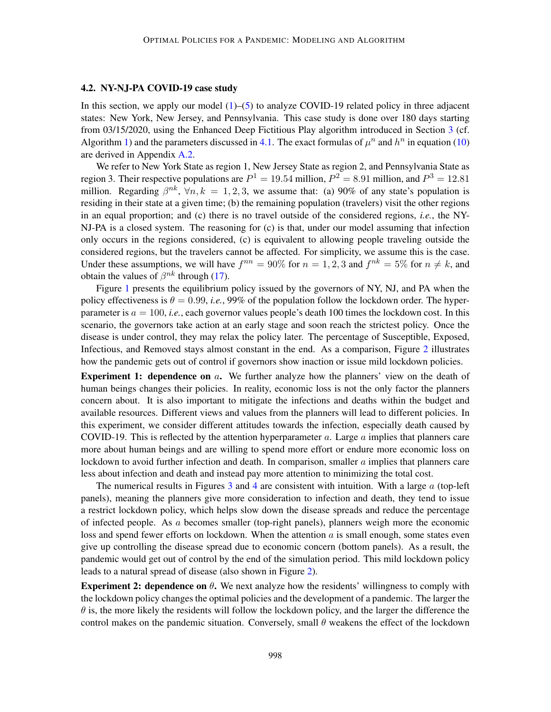## <span id="page-11-0"></span>4.2. NY-NJ-PA COVID-19 case study

In this section, we apply our model  $(1)$ – $(5)$  to analyze COVID-19 related policy in three adjacent states: New York, New Jersey, and Pennsylvania. This case study is done over 180 days starting from 03/15/2020, using the Enhanced Deep Fictitious Play algorithm introduced in Section [3](#page-5-0) (cf. Algorithm [1\)](#page-9-2) and the parameters discussed in [4.1.](#page-9-1) The exact formulas of  $\mu^n$  and  $h^n$  in equation [\(10\)](#page-6-4) are derived in Appendix [A.2.](#page-19-0)

We refer to New York State as region 1, New Jersey State as region 2, and Pennsylvania State as region 3. Their respective populations are  $P^1 = 19.54$  million,  $P^2 = 8.91$  million, and  $P^3 = 12.81$ million. Regarding  $\beta^{nk}$ ,  $\forall n, k = 1, 2, 3$ , we assume that: (a) 90% of any state's population is residing in their state at a given time; (b) the remaining population (travelers) visit the other regions in an equal proportion; and (c) there is no travel outside of the considered regions, *i.e.*, the NY-NJ-PA is a closed system. The reasoning for (c) is that, under our model assuming that infection only occurs in the regions considered, (c) is equivalent to allowing people traveling outside the considered regions, but the travelers cannot be affected. For simplicity, we assume this is the case. Under these assumptions, we will have  $f^{nn} = 90\%$  for  $n = 1, 2, 3$  and  $f^{nk} = 5\%$  for  $n \neq k$ , and obtain the values of  $\beta^{nk}$  through [\(17\)](#page-10-0).

Figure [1](#page-12-0) presents the equilibrium policy issued by the governors of NY, NJ, and PA when the policy effectiveness is  $\theta = 0.99$ , *i.e.*, 99% of the population follow the lockdown order. The hyperparameter is  $a = 100$ , *i.e.*, each governor values people's death 100 times the lockdown cost. In this scenario, the governors take action at an early stage and soon reach the strictest policy. Once the disease is under control, they may relax the policy later. The percentage of Susceptible, Exposed, Infectious, and Removed stays almost constant in the end. As a comparison, Figure [2](#page-12-1) illustrates how the pandemic gets out of control if governors show inaction or issue mild lockdown policies.

**Experiment 1: dependence on a.** We further analyze how the planners' view on the death of human beings changes their policies. In reality, economic loss is not the only factor the planners concern about. It is also important to mitigate the infections and deaths within the budget and available resources. Different views and values from the planners will lead to different policies. In this experiment, we consider different attitudes towards the infection, especially death caused by COVID-19. This is reflected by the attention hyperparameter  $a$ . Large  $a$  implies that planners care more about human beings and are willing to spend more effort or endure more economic loss on lockdown to avoid further infection and death. In comparison, smaller a implies that planners care less about infection and death and instead pay more attention to minimizing the total cost.

The numerical results in Figures [3](#page-13-0) and [4](#page-14-1) are consistent with intuition. With a large  $\alpha$  (top-left panels), meaning the planners give more consideration to infection and death, they tend to issue a restrict lockdown policy, which helps slow down the disease spreads and reduce the percentage of infected people. As  $\alpha$  becomes smaller (top-right panels), planners weigh more the economic loss and spend fewer efforts on lockdown. When the attention  $\alpha$  is small enough, some states even give up controlling the disease spread due to economic concern (bottom panels). As a result, the pandemic would get out of control by the end of the simulation period. This mild lockdown policy leads to a natural spread of disease (also shown in Figure [2\)](#page-12-1).

**Experiment 2: dependence on**  $\theta$ . We next analyze how the residents' willingness to comply with the lockdown policy changes the optimal policies and the development of a pandemic. The larger the  $\theta$  is, the more likely the residents will follow the lockdown policy, and the larger the difference the control makes on the pandemic situation. Conversely, small  $\theta$  weakens the effect of the lockdown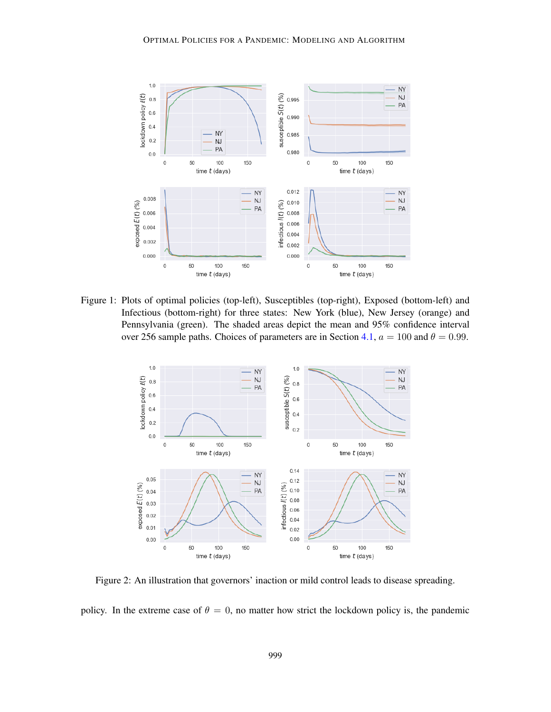

Figure 1: Plots of optimal policies (top-left), Susceptibles (top-right), Exposed (bottom-left) and Infectious (bottom-right) for three states: New York (blue), New Jersey (orange) and Pennsylvania (green). The shaded areas depict the mean and 95% confidence interval over 256 sample paths. Choices of parameters are in Section [4.1,](#page-9-1)  $a = 100$  and  $\theta = 0.99$ .

<span id="page-12-0"></span>

<span id="page-12-1"></span>Figure 2: An illustration that governors' inaction or mild control leads to disease spreading.

policy. In the extreme case of  $\theta = 0$ , no matter how strict the lockdown policy is, the pandemic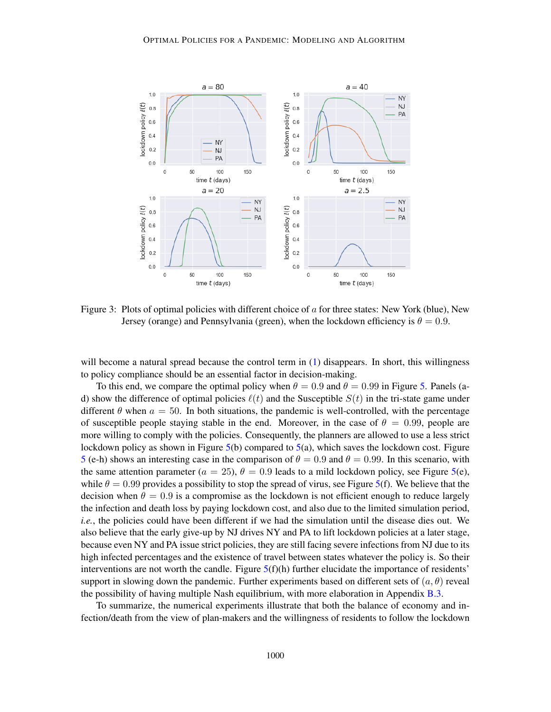

<span id="page-13-0"></span>Figure 3: Plots of optimal policies with different choice of  $\alpha$  for three states: New York (blue), New Jersey (orange) and Pennsylvania (green), when the lockdown efficiency is  $\theta = 0.9$ .

will become a natural spread because the control term in  $(1)$  disappears. In short, this willingness to policy compliance should be an essential factor in decision-making.

To this end, we compare the optimal policy when  $\theta = 0.9$  and  $\theta = 0.99$  in Figure [5.](#page-15-0) Panels (ad) show the difference of optimal policies  $\ell(t)$  and the Susceptible  $S(t)$  in the tri-state game under different  $\theta$  when  $a = 50$ . In both situations, the pandemic is well-controlled, with the percentage of susceptible people staying stable in the end. Moreover, in the case of  $\theta = 0.99$ , people are more willing to comply with the policies. Consequently, the planners are allowed to use a less strict lockdown policy as shown in Figure  $5(b)$  $5(b)$  compared to  $5(a)$ , which saves the lockdown cost. Figure [5](#page-15-0) (e-h) shows an interesting case in the comparison of  $\theta = 0.9$  and  $\theta = 0.99$ . In this scenario, with the same attention parameter ( $a = 25$ ),  $\theta = 0.9$  leads to a mild lockdown policy, see Figure [5\(](#page-15-0)e), while  $\theta = 0.99$  provides a possibility to stop the spread of virus, see Figure [5\(](#page-15-0)f). We believe that the decision when  $\theta = 0.9$  is a compromise as the lockdown is not efficient enough to reduce largely the infection and death loss by paying lockdown cost, and also due to the limited simulation period, *i.e.*, the policies could have been different if we had the simulation until the disease dies out. We also believe that the early give-up by NJ drives NY and PA to lift lockdown policies at a later stage, because even NY and PA issue strict policies, they are still facing severe infections from NJ due to its high infected percentages and the existence of travel between states whatever the policy is. So their interventions are not worth the candle. Figure  $5(f)(h)$  $5(f)(h)$  further elucidate the importance of residents' support in slowing down the pandemic. Further experiments based on different sets of  $(a, \theta)$  reveal the possibility of having multiple Nash equilibrium, with more elaboration in Appendix [B.3.](#page-23-0)

To summarize, the numerical experiments illustrate that both the balance of economy and infection/death from the view of plan-makers and the willingness of residents to follow the lockdown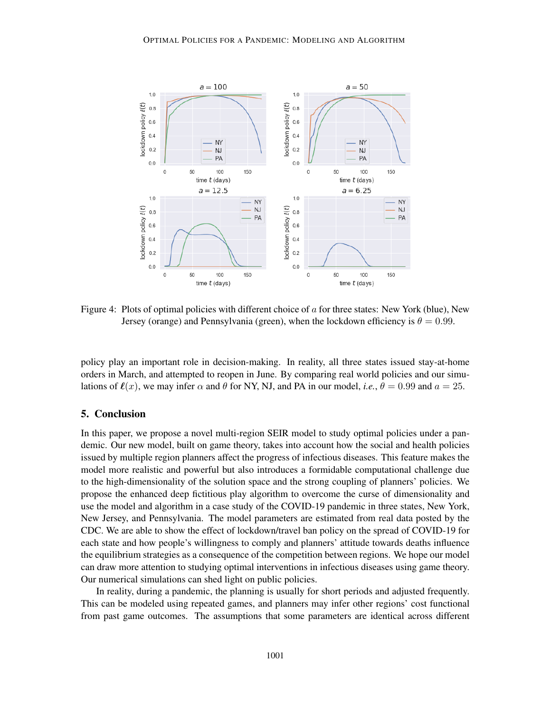

<span id="page-14-1"></span>Figure 4: Plots of optimal policies with different choice of  $\alpha$  for three states: New York (blue), New Jersey (orange) and Pennsylvania (green), when the lockdown efficiency is  $\theta = 0.99$ .

policy play an important role in decision-making. In reality, all three states issued stay-at-home orders in March, and attempted to reopen in June. By comparing real world policies and our simulations of  $\ell(x)$ , we may infer  $\alpha$  and  $\theta$  for NY, NJ, and PA in our model, *i.e.*,  $\theta = 0.99$  and  $a = 25$ .

## <span id="page-14-0"></span>5. Conclusion

In this paper, we propose a novel multi-region SEIR model to study optimal policies under a pandemic. Our new model, built on game theory, takes into account how the social and health policies issued by multiple region planners affect the progress of infectious diseases. This feature makes the model more realistic and powerful but also introduces a formidable computational challenge due to the high-dimensionality of the solution space and the strong coupling of planners' policies. We propose the enhanced deep fictitious play algorithm to overcome the curse of dimensionality and use the model and algorithm in a case study of the COVID-19 pandemic in three states, New York, New Jersey, and Pennsylvania. The model parameters are estimated from real data posted by the CDC. We are able to show the effect of lockdown/travel ban policy on the spread of COVID-19 for each state and how people's willingness to comply and planners' attitude towards deaths influence the equilibrium strategies as a consequence of the competition between regions. We hope our model can draw more attention to studying optimal interventions in infectious diseases using game theory. Our numerical simulations can shed light on public policies.

In reality, during a pandemic, the planning is usually for short periods and adjusted frequently. This can be modeled using repeated games, and planners may infer other regions' cost functional from past game outcomes. The assumptions that some parameters are identical across different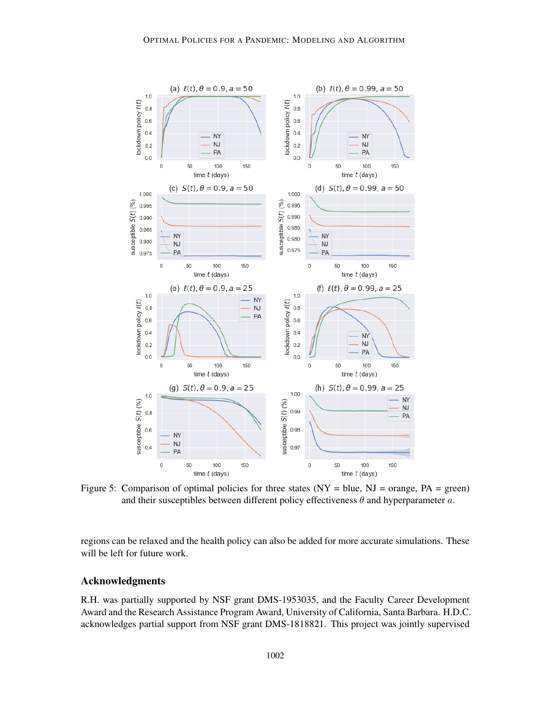

<span id="page-15-0"></span>Figure 5: Comparison of optimal policies for three states  $(NY = blue, NJ = orange, PA = green)$ and their susceptibles between different policy effectiveness  $\theta$  and hyperparameter  $a$ .

regions can be relaxed and the health policy can also be added for more accurate simulations. These will be left for future work.

# Acknowledgments

R.H. was partially supported by NSF grant DMS-1953035, and the Faculty Career Development Award and the Research Assistance Program Award, University of California, Santa Barbara. H.D.C. acknowledges partial support from NSF grant DMS-1818821. This project was jointly supervised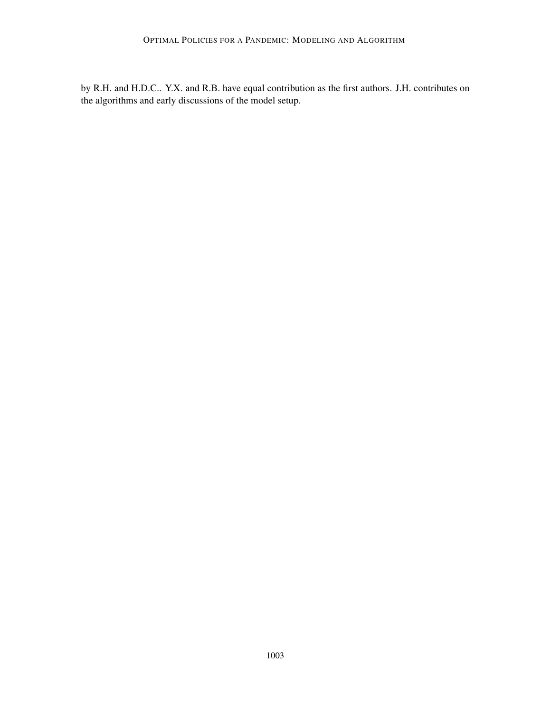by R.H. and H.D.C.. Y.X. and R.B. have equal contribution as the first authors. J.H. contributes on the algorithms and early discussions of the model setup.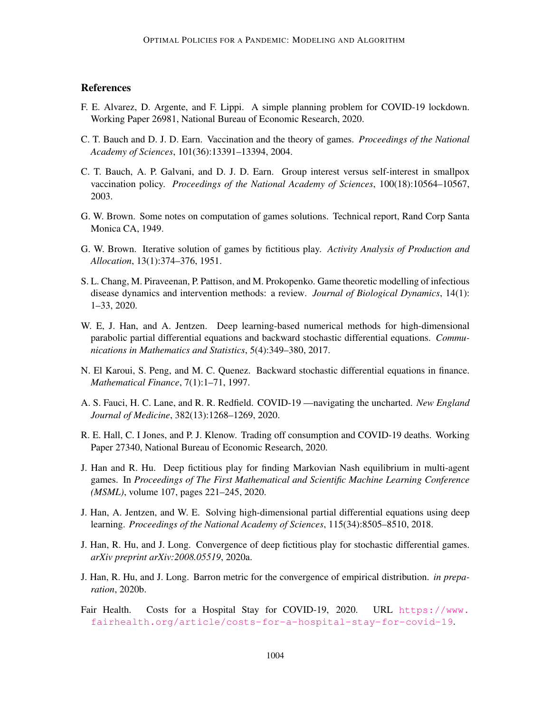# **References**

- <span id="page-17-12"></span>F. E. Alvarez, D. Argente, and F. Lippi. A simple planning problem for COVID-19 lockdown. Working Paper 26981, National Bureau of Economic Research, 2020.
- <span id="page-17-1"></span>C. T. Bauch and D. J. D. Earn. Vaccination and the theory of games. *Proceedings of the National Academy of Sciences*, 101(36):13391–13394, 2004.
- <span id="page-17-0"></span>C. T. Bauch, A. P. Galvani, and D. J. D. Earn. Group interest versus self-interest in smallpox vaccination policy. *Proceedings of the National Academy of Sciences*, 100(18):10564–10567, 2003.
- <span id="page-17-6"></span>G. W. Brown. Some notes on computation of games solutions. Technical report, Rand Corp Santa Monica CA, 1949.
- <span id="page-17-7"></span>G. W. Brown. Iterative solution of games by fictitious play. *Activity Analysis of Production and Allocation*, 13(1):374–376, 1951.
- <span id="page-17-2"></span>S. L. Chang, M. Piraveenan, P. Pattison, and M. Prokopenko. Game theoretic modelling of infectious disease dynamics and intervention methods: a review. *Journal of Biological Dynamics*, 14(1): 1–33, 2020.
- <span id="page-17-8"></span>W. E, J. Han, and A. Jentzen. Deep learning-based numerical methods for high-dimensional parabolic partial differential equations and backward stochastic differential equations. *Communications in Mathematics and Statistics*, 5(4):349–380, 2017.
- <span id="page-17-10"></span>N. El Karoui, S. Peng, and M. C. Quenez. Backward stochastic differential equations in finance. *Mathematical Finance*, 7(1):1–71, 1997.
- <span id="page-17-11"></span>A. S. Fauci, H. C. Lane, and R. R. Redfield. COVID-19 —navigating the uncharted. *New England Journal of Medicine*, 382(13):1268–1269, 2020.
- <span id="page-17-13"></span>R. E. Hall, C. I Jones, and P. J. Klenow. Trading off consumption and COVID-19 deaths. Working Paper 27340, National Bureau of Economic Research, 2020.
- <span id="page-17-3"></span>J. Han and R. Hu. Deep fictitious play for finding Markovian Nash equilibrium in multi-agent games. In *Proceedings of The First Mathematical and Scientific Machine Learning Conference (MSML)*, volume 107, pages 221–245, 2020.
- <span id="page-17-9"></span>J. Han, A. Jentzen, and W. E. Solving high-dimensional partial differential equations using deep learning. *Proceedings of the National Academy of Sciences*, 115(34):8505–8510, 2018.
- <span id="page-17-4"></span>J. Han, R. Hu, and J. Long. Convergence of deep fictitious play for stochastic differential games. *arXiv preprint arXiv:2008.05519*, 2020a.
- <span id="page-17-5"></span>J. Han, R. Hu, and J. Long. Barron metric for the convergence of empirical distribution. *in preparation*, 2020b.
- <span id="page-17-14"></span>Fair Health. Costs for a Hospital Stay for COVID-19, 2020. URL [https://www.](https://www.fairhealth.org/article/costs-for-a-hospital-stay-for-covid-19) [fairhealth.org/article/costs-for-a-hospital-stay-for-covid-19](https://www.fairhealth.org/article/costs-for-a-hospital-stay-for-covid-19).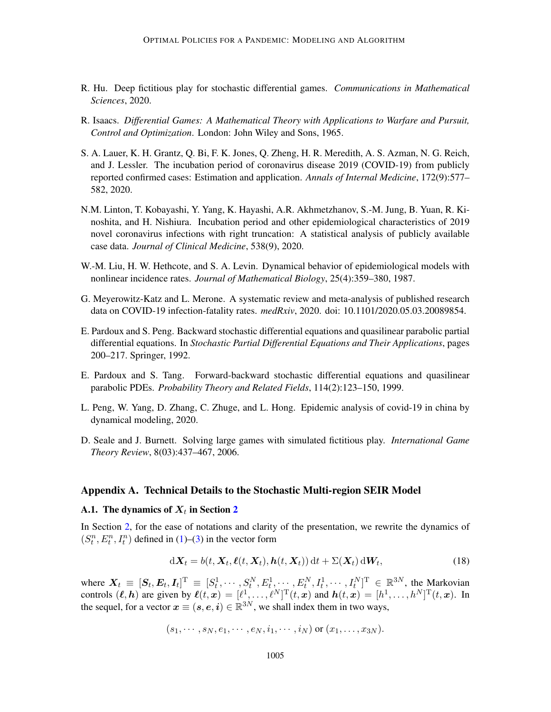- <span id="page-18-1"></span>R. Hu. Deep fictitious play for stochastic differential games. *Communications in Mathematical Sciences*, 2020.
- <span id="page-18-0"></span>R. Isaacs. *Differential Games: A Mathematical Theory with Applications to Warfare and Pursuit, Control and Optimization*. London: John Wiley and Sons, 1965.
- <span id="page-18-9"></span>S. A. Lauer, K. H. Grantz, Q. Bi, F. K. Jones, Q. Zheng, H. R. Meredith, A. S. Azman, N. G. Reich, and J. Lessler. The incubation period of coronavirus disease 2019 (COVID-19) from publicly reported confirmed cases: Estimation and application. *Annals of Internal Medicine*, 172(9):577– 582, 2020.
- <span id="page-18-7"></span>N.M. Linton, T. Kobayashi, Y. Yang, K. Hayashi, A.R. Akhmetzhanov, S.-M. Jung, B. Yuan, R. Kinoshita, and H. Nishiura. Incubation period and other epidemiological characteristics of 2019 novel coronavirus infections with right truncation: A statistical analysis of publicly available case data. *Journal of Clinical Medicine*, 538(9), 2020.
- <span id="page-18-2"></span>W.-M. Liu, H. W. Hethcote, and S. A. Levin. Dynamical behavior of epidemiological models with nonlinear incidence rates. *Journal of Mathematical Biology*, 25(4):359–380, 1987.
- <span id="page-18-8"></span>G. Meyerowitz-Katz and L. Merone. A systematic review and meta-analysis of published research data on COVID-19 infection-fatality rates. *medRxiv*, 2020. doi: 10.1101/2020.05.03.20089854.
- <span id="page-18-4"></span>E. Pardoux and S. Peng. Backward stochastic differential equations and quasilinear parabolic partial differential equations. In *Stochastic Partial Differential Equations and Their Applications*, pages 200–217. Springer, 1992.
- <span id="page-18-5"></span>E. Pardoux and S. Tang. Forward-backward stochastic differential equations and quasilinear parabolic PDEs. *Probability Theory and Related Fields*, 114(2):123–150, 1999.
- <span id="page-18-10"></span>L. Peng, W. Yang, D. Zhang, C. Zhuge, and L. Hong. Epidemic analysis of covid-19 in china by dynamical modeling, 2020.
- <span id="page-18-6"></span>D. Seale and J. Burnett. Solving large games with simulated fictitious play. *International Game Theory Review*, 8(03):437–467, 2006.

#### Appendix A. Technical Details to the Stochastic Multi-region SEIR Model

# <span id="page-18-3"></span>A.1. The dynamics of  $\boldsymbol{X}_{t}$  in Section [2](#page-2-0)

In Section [2,](#page-2-0) for the ease of notations and clarity of the presentation, we rewrite the dynamics of  $(S_t^n, E_t^n, I_t^n)$  defined in [\(1\)](#page-2-1)–[\(3\)](#page-2-4) in the vector form

<span id="page-18-11"></span>
$$
\mathrm{d}\boldsymbol{X}_t = b(t, \boldsymbol{X}_t, \boldsymbol{\ell}(t, \boldsymbol{X}_t), \boldsymbol{h}(t, \boldsymbol{X}_t)) \, \mathrm{d}t + \Sigma(\boldsymbol{X}_t) \, \mathrm{d}\boldsymbol{W}_t,\tag{18}
$$

where  $\mathbf{X}_t \equiv [\mathbf{S}_t, \mathbf{E}_t, \mathbf{I}_t]^{\text{T}} \equiv [S_t^1, \cdots, S_t^N, E_t^1, \cdots, E_t^N, I_t^1, \cdots, I_t^N]^{\text{T}} \in \mathbb{R}^{3N}$ , the Markovian controls  $(\ell, h)$  are given by  $\ell(t, x) = [\ell^1, \dots, \ell^N]^T(t, x)$  and  $h(t, x) = [h^1, \dots, h^N]^T(t, x)$ . In the sequel, for a vector  $x \equiv (s, e, i) \in \mathbb{R}^{3N}$ , we shall index them in two ways,

$$
(s_1,\cdots,s_N,e_1,\cdots,e_N,i_1,\cdots,i_N)
$$
 or  $(x_1,\ldots,x_{3N})$ .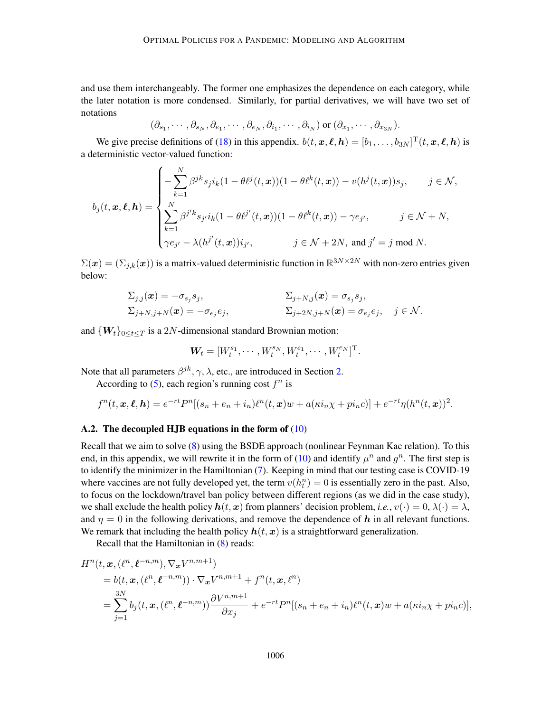and use them interchangeably. The former one emphasizes the dependence on each category, while the later notation is more condensed. Similarly, for partial derivatives, we will have two set of notations

$$
(\partial_{s_1}, \cdots, \partial_{s_N}, \partial_{e_1}, \cdots, \partial_{e_N}, \partial_{i_1}, \cdots, \partial_{i_N})
$$
 or  $(\partial_{x_1}, \cdots, \partial_{x_{3N}})$ .

We give precise definitions of [\(18\)](#page-18-11) in this appendix.  $b(t, \bm{x}, \ell, \bm{h}) = [b_1, \dots, b_{3N}]^{\text{T}}(t, \bm{x}, \ell, \bm{h})$  is a deterministic vector-valued function:

$$
b_j(t, \mathbf{x}, \ell, \mathbf{h}) = \begin{cases} -\sum_{k=1}^N \beta^{jk} s_j i_k (1 - \theta \ell^j(t, \mathbf{x})) (1 - \theta \ell^k(t, \mathbf{x})) - v(h^j(t, \mathbf{x})) s_j, & j \in \mathcal{N}, \\ \sum_{k=1}^N \beta^{j'k} s_{j'} i_k (1 - \theta \ell^{j'}(t, \mathbf{x})) (1 - \theta \ell^k(t, \mathbf{x})) - \gamma e_{j'}, & j \in \mathcal{N} + N, \\ \gamma e_{j'} - \lambda (h^{j'}(t, \mathbf{x})) i_{j'}, & j \in \mathcal{N} + 2N, \text{ and } j' = j \text{ mod } N. \end{cases}
$$

 $\Sigma(\bm{x}) = (\Sigma_{j,k}(\bm{x}))$  is a matrix-valued deterministic function in  $\mathbb{R}^{3N \times 2N}$  with non-zero entries given below:

$$
\Sigma_{j,j}(\boldsymbol{x}) = -\sigma_{s_j} s_j, \qquad \qquad \Sigma_{j+N,j}(\boldsymbol{x}) = \sigma_{s_j} s_j, \n\Sigma_{j+N,j+N}(\boldsymbol{x}) = -\sigma_{e_j} e_j, \qquad \Sigma_{j+2N,j+N}(\boldsymbol{x}) = \sigma_{e_j} e_j, \quad j \in \mathcal{N}.
$$

and  ${W_t}_{0 \leq t \leq T}$  is a 2N-dimensional standard Brownian motion:

$$
\mathbf{W}_{t} = [W_{t}^{s_{1}}, \cdots, W_{t}^{s_{N}}, W_{t}^{e_{1}}, \cdots, W_{t}^{e_{N}}]^{T}.
$$

Note that all parameters  $\beta^{jk}, \gamma, \lambda$ , etc., are introduced in Section [2.](#page-2-0)

According to [\(5\)](#page-2-2), each region's running cost  $f^n$  is

$$
f^{n}(t, \boldsymbol{x}, \boldsymbol{\ell}, \boldsymbol{h}) = e^{-rt} P^{n} [(s_{n} + e_{n} + i_{n}) \ell^{n}(t, \boldsymbol{x}) w + a(\kappa i_{n} \chi + p i_{n} c)] + e^{-rt} \eta (h^{n}(t, \boldsymbol{x}))^{2}.
$$

## <span id="page-19-0"></span>A.2. The decoupled HJB equations in the form of [\(10\)](#page-6-4)

Recall that we aim to solve [\(8\)](#page-5-2) using the BSDE approach (nonlinear Feynman Kac relation). To this end, in this appendix, we will rewrite it in the form of [\(10\)](#page-6-4) and identify  $\mu^n$  and  $g^n$ . The first step is to identify the minimizer in the Hamiltonian [\(7\)](#page-5-3). Keeping in mind that our testing case is COVID-19 where vaccines are not fully developed yet, the term  $v(h_t^n) = 0$  is essentially zero in the past. Also, to focus on the lockdown/travel ban policy between different regions (as we did in the case study), we shall exclude the health policy  $h(t, x)$  from planners' decision problem, *i.e.*,  $v(\cdot) = 0, \lambda(\cdot) = \lambda$ , and  $\eta = 0$  in the following derivations, and remove the dependence of h in all relevant functions. We remark that including the health policy  $h(t, x)$  is a straightforward generalization.

Recall that the Hamiltonian in [\(8\)](#page-5-2) reads:

$$
H^{n}(t, x, (\ell^{n}, \ell^{-n,m}), \nabla_{x} V^{n,m+1})
$$
  
=  $b(t, x, (\ell^{n}, \ell^{-n,m})) \cdot \nabla_{x} V^{n,m+1} + f^{n}(t, x, \ell^{n})$   
=  $\sum_{j=1}^{3N} b_{j}(t, x, (\ell^{n}, \ell^{-n,m})) \frac{\partial V^{n,m+1}}{\partial x_{j}} + e^{-rt} P^{n}[(s_{n} + e_{n} + i_{n})\ell^{n}(t, x)w + a(\kappa i_{n} \chi + p i_{n} c)],$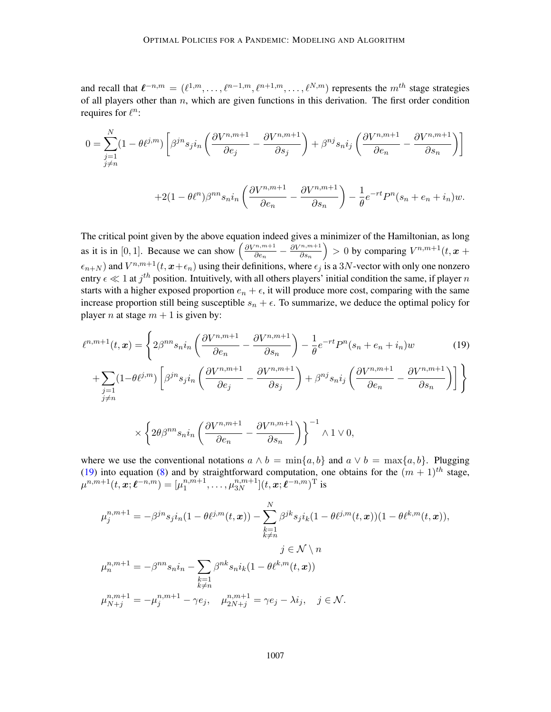and recall that  $\ell^{-n,m} = (\ell^{1,m}, \ldots, \ell^{n-1,m}, \ell^{n+1,m}, \ldots, \ell^{N,m})$  represents the  $m^{th}$  stage strategies of all players other than  $n$ , which are given functions in this derivation. The first order condition requires for  $\ell^n$ :

$$
0 = \sum_{\substack{j=1 \ j \neq n}}^{N} (1 - \theta \ell^{j,m}) \left[ \beta^{jn} s_j i_n \left( \frac{\partial V^{n,m+1}}{\partial e_j} - \frac{\partial V^{n,m+1}}{\partial s_j} \right) + \beta^{nj} s_n i_j \left( \frac{\partial V^{n,m+1}}{\partial e_n} - \frac{\partial V^{n,m+1}}{\partial s_n} \right) \right]
$$

$$
+2(1-\theta\ell^{n})\beta^{nn}s_{n}i_{n}\left(\frac{\partial V^{n,m+1}}{\partial e_{n}}-\frac{\partial V^{n,m+1}}{\partial s_{n}}\right)-\frac{1}{\theta}e^{-rt}P^{n}(s_{n}+e_{n}+i_{n})w.
$$

The critical point given by the above equation indeed gives a minimizer of the Hamiltonian, as long as it is in [0, 1]. Because we can show  $\left(\frac{\partial V^{n,m+1}}{\partial e_1}\right)$  $\frac{\partial^{(n,m+1)}}{\partial e_n} - \frac{\partial V^{n,m+1}}{\partial s_n}$  $\left(\frac{n,m+1}{\partial s_n}\right) > 0$  by comparing  $V^{n,m+1}(t, x +$  $\epsilon_{n+N}$ ) and  $V^{n,m+1}(t, x+\epsilon_n)$  using their definitions, where  $\epsilon_j$  is a 3N-vector with only one nonzero entry  $\epsilon \ll 1$  at  $j^{th}$  position. Intuitively, with all others players' initial condition the same, if player n starts with a higher exposed proportion  $e_n + \epsilon$ , it will produce more cost, comparing with the same increase proportion still being susceptible  $s_n + \epsilon$ . To summarize, we deduce the optimal policy for player *n* at stage  $m + 1$  is given by:

$$
\ell^{n,m+1}(t,\boldsymbol{x}) = \left\{ 2\beta^{nn} s_n i_n \left( \frac{\partial V^{n,m+1}}{\partial e_n} - \frac{\partial V^{n,m+1}}{\partial s_n} \right) - \frac{1}{\theta} e^{-rt} P^n (s_n + e_n + i_n) w \right\}
$$
(19)

$$
+\sum_{\substack{j=1\\j\neq n}}(1-\theta\ell^{j,m})\left[\beta^{jn}s_ji_n\left(\frac{\partial V^{n,m+1}}{\partial e_j}-\frac{\partial V^{n,m+1}}{\partial s_j}\right)+\beta^{nj}s_ni_j\left(\frac{\partial V^{n,m+1}}{\partial e_n}-\frac{\partial V^{n,m+1}}{\partial s_n}\right)\right]\Bigg\}
$$

<span id="page-20-0"></span>
$$
\times \left\{ 2\theta \beta^{nn} s_n i_n \left( \frac{\partial V^{n,m+1}}{\partial e_n} - \frac{\partial V^{n,m+1}}{\partial s_n} \right) \right\}^{-1} \wedge 1 \vee 0,
$$

where we use the conventional notations  $a \wedge b = \min\{a, b\}$  and  $a \vee b = \max\{a, b\}$ . Plugging [\(19\)](#page-20-0) into equation [\(8\)](#page-5-2) and by straightforward computation, one obtains for the  $(m + 1)$ <sup>th</sup> stage,  $\mu^{n,m+1}(t,\hat{\bm{x}};\bm{\ell}^{-n,m}) = [\mu_1^{n,\hat{m}+1}]$  $n, m+1, \ldots, \mu_{3N}^{n,m+1}$  $_{3N}^{n,m+1}](t,\boldsymbol{x};\boldsymbol{\ell}^{-n,m})^{\mathrm{T}}$  is

$$
\mu_j^{n,m+1} = -\beta^{jn} s_j i_n (1 - \theta \ell^{j,m}(t, \mathbf{x})) - \sum_{\substack{k=1 \ k \neq n}}^N \beta^{jk} s_j i_k (1 - \theta \ell^{j,m}(t, \mathbf{x})) (1 - \theta \ell^{k,m}(t, \mathbf{x})),
$$
  

$$
j \in \mathcal{N} \setminus n
$$
  

$$
\mu_n^{n,m+1} = -\beta^{nn} s_n i_n - \sum_{\substack{k=1 \ k \neq n}} \beta^{nk} s_n i_k (1 - \theta \ell^{k,m}(t, \mathbf{x}))
$$
  

$$
\mu_{N+j}^{n,m+1} = -\mu_j^{n,m+1} - \gamma e_j, \quad \mu_{2N+j}^{n,m+1} = \gamma e_j - \lambda i_j, \quad j \in \mathcal{N}.
$$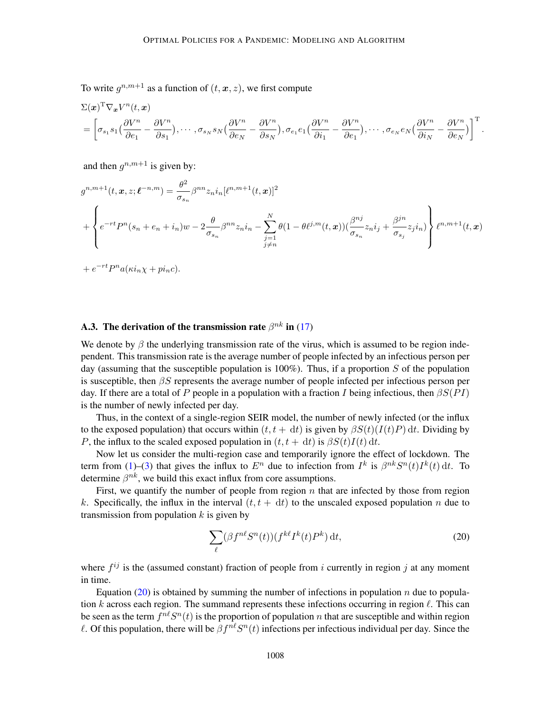To write  $g^{n,m+1}$  as a function of  $(t, x, z)$ , we first compute

$$
\Sigma(\boldsymbol{x})^{\mathrm{T}}\nabla_{\boldsymbol{x}}V^{n}(t,\boldsymbol{x}) = \left[\sigma_{s_{1}}s_{1}\left(\frac{\partial V^{n}}{\partial e_{1}}-\frac{\partial V^{n}}{\partial s_{1}}\right),\cdots,\sigma_{s_{N}}s_{N}\left(\frac{\partial V^{n}}{\partial e_{N}}-\frac{\partial V^{n}}{\partial s_{N}}\right),\sigma_{e_{1}}e_{1}\left(\frac{\partial V^{n}}{\partial i_{1}}-\frac{\partial V^{n}}{\partial e_{1}}\right),\cdots,\sigma_{e_{N}}e_{N}\left(\frac{\partial V^{n}}{\partial i_{N}}-\frac{\partial V^{n}}{\partial e_{N}}\right)\right]^{\mathrm{T}}.
$$

and then  $g^{n,m+1}$  is given by:

$$
g^{n,m+1}(t, x, z; \ell^{-n,m}) = \frac{\theta^2}{\sigma_{s_n}} \beta^{nn} z_n i_n [\ell^{n,m+1}(t, x)]^2
$$
  
+ 
$$
\left\{ e^{-rt} P^n(s_n + e_n + i_n) w - 2 \frac{\theta}{\sigma_{s_n}} \beta^{nn} z_n i_n - \sum_{\substack{j=1 \ j \neq n}}^N \theta (1 - \theta \ell^{j,m}(t, x)) (\frac{\beta^{nj}}{\sigma_{s_n}} z_n i_j + \frac{\beta^{jn}}{\sigma_{s_j}} z_j i_n) \right\} \ell^{n,m+1}(t, x)
$$

$$
+ e^{-rt} P^n a(\kappa i_n \chi + p i_n c).
$$

# <span id="page-21-0"></span>A.3. The derivation of the transmission rate  $\beta^{nk}$  in [\(17\)](#page-10-0)

We denote by  $\beta$  the underlying transmission rate of the virus, which is assumed to be region independent. This transmission rate is the average number of people infected by an infectious person per day (assuming that the susceptible population is  $100\%$ ). Thus, if a proportion S of the population is susceptible, then  $\beta S$  represents the average number of people infected per infectious person per day. If there are a total of P people in a population with a fraction I being infectious, then  $\beta S(PI)$ is the number of newly infected per day.

Thus, in the context of a single-region SEIR model, the number of newly infected (or the influx to the exposed population) that occurs within  $(t, t + dt)$  is given by  $\beta S(t) (I(t)P) dt$ . Dividing by P, the influx to the scaled exposed population in  $(t, t + dt)$  is  $\beta S(t)I(t) dt$ .

Now let us consider the multi-region case and temporarily ignore the effect of lockdown. The term from [\(1\)](#page-2-1)–[\(3\)](#page-2-4) that gives the influx to  $E^n$  due to infection from  $I^k$  is  $\beta^{nk}S^n(t)I^k(t) dt$ . To determine  $\beta^{nk}$ , we build this exact influx from core assumptions.

First, we quantify the number of people from region  $n$  that are infected by those from region k. Specifically, the influx in the interval  $(t, t + dt)$  to the unscaled exposed population n due to transmission from population  $k$  is given by

<span id="page-21-1"></span>
$$
\sum_{\ell} (\beta f^{n\ell} S^n(t)) (f^{k\ell} I^k(t) P^k) \, \mathrm{d}t,\tag{20}
$$

where  $f^{ij}$  is the (assumed constant) fraction of people from i currently in region j at any moment in time.

Equation [\(20\)](#page-21-1) is obtained by summing the number of infections in population  $n$  due to population k across each region. The summand represents these infections occurring in region  $\ell$ . This can be seen as the term  $f^{n\ell}S^n(t)$  is the proportion of population n that are susceptible and within region  $\ell$ . Of this population, there will be  $\beta f^{n\ell} S^n(t)$  infections per infectious individual per day. Since the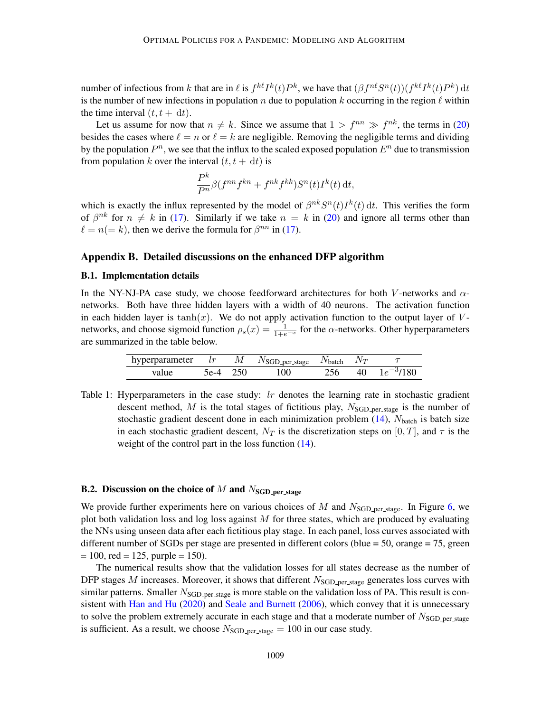number of infectious from k that are in  $\ell$  is  $f^{k\ell}I^k(t)P^k$ , we have that  $(\beta f^{n\ell}S^n(t))(f^{k\ell}I^k(t)P^k)$  dt is the number of new infections in population n due to population k occurring in the region  $\ell$  within the time interval  $(t, t + dt)$ .

Let us assume for now that  $n \neq k$ . Since we assume that  $1 > f^{nn} \gg f^{nk}$ , the terms in [\(20\)](#page-21-1) besides the cases where  $\ell = n$  or  $\ell = k$  are negligible. Removing the negligible terms and dividing by the population  $P^n$ , we see that the influx to the scaled exposed population  $E^n$  due to transmission from population k over the interval  $(t, t + dt)$  is

$$
\frac{P^k}{P^n}\beta(f^{nn}f^{kn}+f^{nk}f^{kk})S^n(t)I^k(t) dt,
$$

which is exactly the influx represented by the model of  $\beta^{nk}S^{n}(t)I^{k}(t)$  dt. This verifies the form of  $\beta^{nk}$  for  $n \neq k$  in [\(17\)](#page-10-0). Similarly if we take  $n = k$  in [\(20\)](#page-21-1) and ignore all terms other than  $\ell = n(= k)$ , then we derive the formula for  $\beta^{nn}$  in [\(17\)](#page-10-0).

#### Appendix B. Detailed discussions on the enhanced DFP algorithm

## <span id="page-22-0"></span>B.1. Implementation details

In the NY-NJ-PA case study, we choose feedforward architectures for both V-networks and  $\alpha$ networks. Both have three hidden layers with a width of 40 neurons. The activation function in each hidden layer is tanh $(x)$ . We do not apply activation function to the output layer of Vnetworks, and choose sigmoid function  $\rho_s(x) = \frac{1}{1+e^{-x}}$  for the  $\alpha$ -networks. Other hyperparameters are summarized in the table below.

| hyperparameter $lr$ M $N_{SGD-per-stage}$ $N_{batch}$ $N_T$ |          |     |          |                  |
|-------------------------------------------------------------|----------|-----|----------|------------------|
| value                                                       | 5e-4 250 | 100 | $256$ 4. | 40 $1e^{-3}/180$ |

Table 1: Hyperparameters in the case study:  $lr$  denotes the learning rate in stochastic gradient descent method,  $M$  is the total stages of fictitious play,  $N<sub>SGD-per-stage</sub>$  is the number of stochastic gradient descent done in each minimization problem  $(14)$ ,  $N_{batch}$  is batch size in each stochastic gradient descent,  $N_T$  is the discretization steps on [0, T], and  $\tau$  is the weight of the control part in the loss function  $(14)$ .

## <span id="page-22-1"></span>**B.2.** Discussion on the choice of M and  $N_{\text{SGD-per-stage}}$

We provide further experiments here on various choices of M and  $N<sub>SGD-per-stage</sub>$ . In Figure [6,](#page-23-1) we plot both validation loss and log loss against  $M$  for three states, which are produced by evaluating the NNs using unseen data after each fictitious play stage. In each panel, loss curves associated with different number of SGDs per stage are presented in different colors (blue = 50, orange = 75, green  $= 100$ , red  $= 125$ , purple  $= 150$ ).

The numerical results show that the validation losses for all states decrease as the number of DFP stages M increases. Moreover, it shows that different  $N<sub>SGD-per-stage</sub>$  generates loss curves with similar patterns. Smaller  $N<sub>SGD-per-stage</sub>$  is more stable on the validation loss of PA. This result is consistent with [Han and Hu](#page-17-3) [\(2020\)](#page-17-3) and [Seale and Burnett](#page-18-6) [\(2006\)](#page-18-6), which convey that it is unnecessary to solve the problem extremely accurate in each stage and that a moderate number of  $N<sub>SGD-per-stage</sub>$ is sufficient. As a result, we choose  $N<sub>SGD-per-stage</sub> = 100$  in our case study.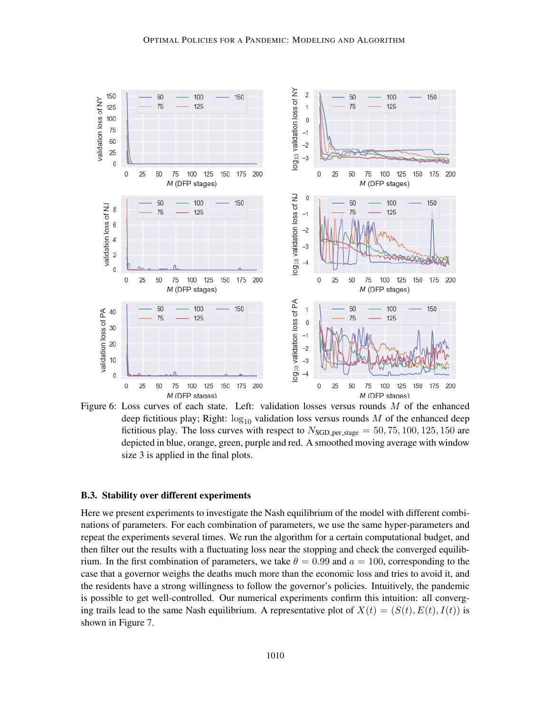

<span id="page-23-1"></span>Figure 6: Loss curves of each state. Left: validation losses versus rounds  $M$  of the enhanced deep fictitious play; Right:  $\log_{10}$  validation loss versus rounds M of the enhanced deep fictitious play. The loss curves with respect to  $N_{\text{SGD-per-stage}} = 50, 75, 100, 125, 150$  are depicted in blue, orange, green, purple and red. A smoothed moving average with window size 3 is applied in the final plots.

#### <span id="page-23-0"></span>B.3. Stability over different experiments

Here we present experiments to investigate the Nash equilibrium of the model with different combinations of parameters. For each combination of parameters, we use the same hyper-parameters and repeat the experiments several times. We run the algorithm for a certain computational budget, and then filter out the results with a fluctuating loss near the stopping and check the converged equilibrium. In the first combination of parameters, we take  $\theta = 0.99$  and  $a = 100$ , corresponding to the case that a governor weighs the deaths much more than the economic loss and tries to avoid it, and the residents have a strong willingness to follow the governor's policies. Intuitively, the pandemic is possible to get well-controlled. Our numerical experiments confirm this intuition: all converging trails lead to the same Nash equilibrium. A representative plot of  $X(t) = (S(t), E(t), I(t))$  is shown in Figure [7.](#page-24-0)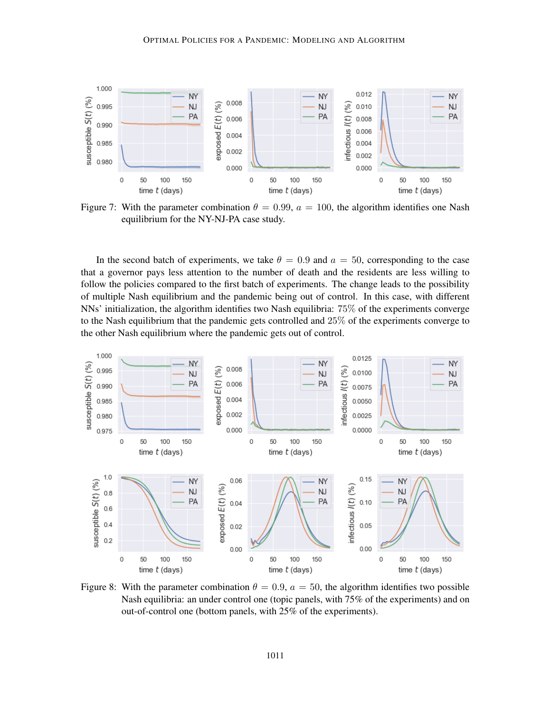

<span id="page-24-0"></span>Figure 7: With the parameter combination  $\theta = 0.99$ ,  $a = 100$ , the algorithm identifies one Nash equilibrium for the NY-NJ-PA case study.

In the second batch of experiments, we take  $\theta = 0.9$  and  $a = 50$ , corresponding to the case that a governor pays less attention to the number of death and the residents are less willing to follow the policies compared to the first batch of experiments. The change leads to the possibility of multiple Nash equilibrium and the pandemic being out of control. In this case, with different NNs' initialization, the algorithm identifies two Nash equilibria: 75% of the experiments converge to the Nash equilibrium that the pandemic gets controlled and 25% of the experiments converge to the other Nash equilibrium where the pandemic gets out of control.



Figure 8: With the parameter combination  $\theta = 0.9$ ,  $a = 50$ , the algorithm identifies two possible Nash equilibria: an under control one (topic panels, with 75% of the experiments) and on out-of-control one (bottom panels, with 25% of the experiments).